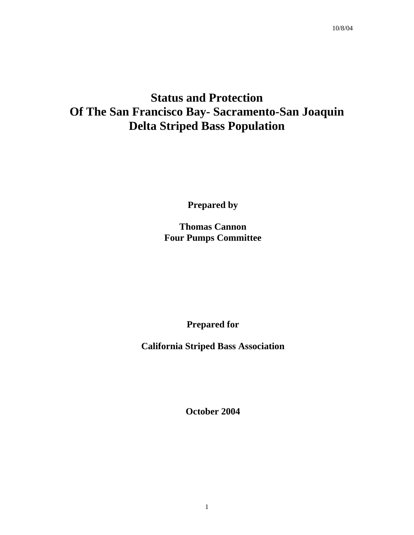# **Status and Protection Of The San Francisco Bay- Sacramento-San Joaquin Delta Striped Bass Population**

**Prepared by** 

**Thomas Cannon Four Pumps Committee** 

**Prepared for** 

**California Striped Bass Association** 

**October 2004**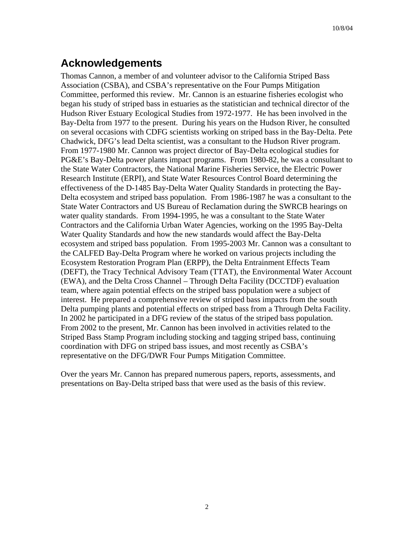# **Acknowledgements**

Thomas Cannon, a member of and volunteer advisor to the California Striped Bass Association (CSBA), and CSBA's representative on the Four Pumps Mitigation Committee, performed this review. Mr. Cannon is an estuarine fisheries ecologist who began his study of striped bass in estuaries as the statistician and technical director of the Hudson River Estuary Ecological Studies from 1972-1977. He has been involved in the Bay-Delta from 1977 to the present. During his years on the Hudson River, he consulted on several occasions with CDFG scientists working on striped bass in the Bay-Delta. Pete Chadwick, DFG's lead Delta scientist, was a consultant to the Hudson River program. From 1977-1980 Mr. Cannon was project director of Bay-Delta ecological studies for PG&E's Bay-Delta power plants impact programs. From 1980-82, he was a consultant to the State Water Contractors, the National Marine Fisheries Service, the Electric Power Research Institute (ERPI), and State Water Resources Control Board determining the effectiveness of the D-1485 Bay-Delta Water Quality Standards in protecting the Bay-Delta ecosystem and striped bass population. From 1986-1987 he was a consultant to the State Water Contractors and US Bureau of Reclamation during the SWRCB hearings on water quality standards. From 1994-1995, he was a consultant to the State Water Contractors and the California Urban Water Agencies, working on the 1995 Bay-Delta Water Quality Standards and how the new standards would affect the Bay-Delta ecosystem and striped bass population. From 1995-2003 Mr. Cannon was a consultant to the CALFED Bay-Delta Program where he worked on various projects including the Ecosystem Restoration Program Plan (ERPP), the Delta Entrainment Effects Team (DEFT), the Tracy Technical Advisory Team (TTAT), the Environmental Water Account (EWA), and the Delta Cross Channel – Through Delta Facility (DCCTDF) evaluation team, where again potential effects on the striped bass population were a subject of interest. He prepared a comprehensive review of striped bass impacts from the south Delta pumping plants and potential effects on striped bass from a Through Delta Facility. In 2002 he participated in a DFG review of the status of the striped bass population. From 2002 to the present, Mr. Cannon has been involved in activities related to the Striped Bass Stamp Program including stocking and tagging striped bass, continuing coordination with DFG on striped bass issues, and most recently as CSBA's representative on the DFG/DWR Four Pumps Mitigation Committee.

Over the years Mr. Cannon has prepared numerous papers, reports, assessments, and presentations on Bay-Delta striped bass that were used as the basis of this review.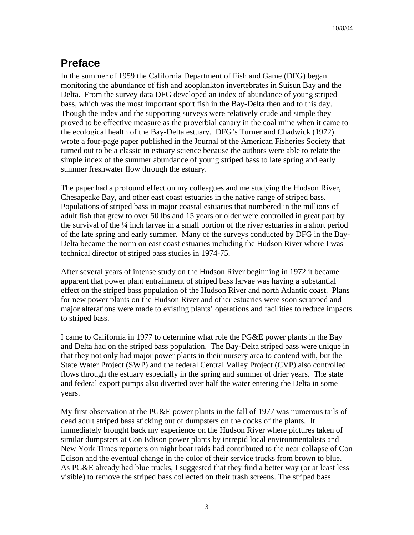# **Preface**

In the summer of 1959 the California Department of Fish and Game (DFG) began monitoring the abundance of fish and zooplankton invertebrates in Suisun Bay and the Delta. From the survey data DFG developed an index of abundance of young striped bass, which was the most important sport fish in the Bay-Delta then and to this day. Though the index and the supporting surveys were relatively crude and simple they proved to be effective measure as the proverbial canary in the coal mine when it came to the ecological health of the Bay-Delta estuary. DFG's Turner and Chadwick (1972) wrote a four-page paper published in the Journal of the American Fisheries Society that turned out to be a classic in estuary science because the authors were able to relate the simple index of the summer abundance of young striped bass to late spring and early summer freshwater flow through the estuary.

The paper had a profound effect on my colleagues and me studying the Hudson River, Chesapeake Bay, and other east coast estuaries in the native range of striped bass. Populations of striped bass in major coastal estuaries that numbered in the millions of adult fish that grew to over 50 lbs and 15 years or older were controlled in great part by the survival of the  $\frac{1}{4}$  inch larvae in a small portion of the river estuaries in a short period of the late spring and early summer. Many of the surveys conducted by DFG in the Bay-Delta became the norm on east coast estuaries including the Hudson River where I was technical director of striped bass studies in 1974-75.

After several years of intense study on the Hudson River beginning in 1972 it became apparent that power plant entrainment of striped bass larvae was having a substantial effect on the striped bass population of the Hudson River and north Atlantic coast. Plans for new power plants on the Hudson River and other estuaries were soon scrapped and major alterations were made to existing plants' operations and facilities to reduce impacts to striped bass.

I came to California in 1977 to determine what role the PG&E power plants in the Bay and Delta had on the striped bass population. The Bay-Delta striped bass were unique in that they not only had major power plants in their nursery area to contend with, but the State Water Project (SWP) and the federal Central Valley Project (CVP) also controlled flows through the estuary especially in the spring and summer of drier years. The state and federal export pumps also diverted over half the water entering the Delta in some years.

My first observation at the PG&E power plants in the fall of 1977 was numerous tails of dead adult striped bass sticking out of dumpsters on the docks of the plants. It immediately brought back my experience on the Hudson River where pictures taken of similar dumpsters at Con Edison power plants by intrepid local environmentalists and New York Times reporters on night boat raids had contributed to the near collapse of Con Edison and the eventual change in the color of their service trucks from brown to blue. As PG&E already had blue trucks, I suggested that they find a better way (or at least less visible) to remove the striped bass collected on their trash screens. The striped bass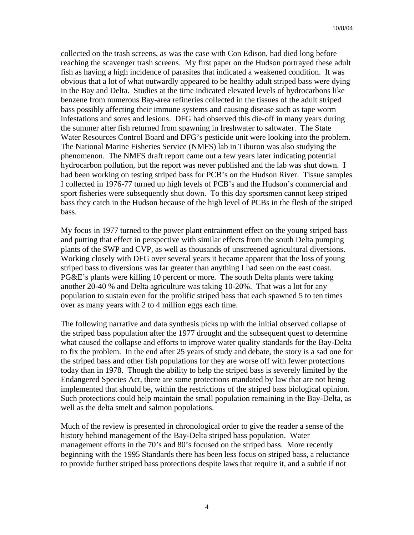collected on the trash screens, as was the case with Con Edison, had died long before reaching the scavenger trash screens. My first paper on the Hudson portrayed these adult fish as having a high incidence of parasites that indicated a weakened condition. It was obvious that a lot of what outwardly appeared to be healthy adult striped bass were dying in the Bay and Delta. Studies at the time indicated elevated levels of hydrocarbons like benzene from numerous Bay-area refineries collected in the tissues of the adult striped bass possibly affecting their immune systems and causing disease such as tape worm infestations and sores and lesions. DFG had observed this die-off in many years during the summer after fish returned from spawning in freshwater to saltwater. The State Water Resources Control Board and DFG's pesticide unit were looking into the problem. The National Marine Fisheries Service (NMFS) lab in Tiburon was also studying the phenomenon. The NMFS draft report came out a few years later indicating potential hydrocarbon pollution, but the report was never published and the lab was shut down. I had been working on testing striped bass for PCB's on the Hudson River. Tissue samples I collected in 1976-77 turned up high levels of PCB's and the Hudson's commercial and sport fisheries were subsequently shut down. To this day sportsmen cannot keep striped bass they catch in the Hudson because of the high level of PCBs in the flesh of the striped bass.

My focus in 1977 turned to the power plant entrainment effect on the young striped bass and putting that effect in perspective with similar effects from the south Delta pumping plants of the SWP and CVP, as well as thousands of unscreened agricultural diversions. Working closely with DFG over several years it became apparent that the loss of young striped bass to diversions was far greater than anything I had seen on the east coast. PG&E's plants were killing 10 percent or more. The south Delta plants were taking another 20-40 % and Delta agriculture was taking 10-20%. That was a lot for any population to sustain even for the prolific striped bass that each spawned 5 to ten times over as many years with 2 to 4 million eggs each time.

The following narrative and data synthesis picks up with the initial observed collapse of the striped bass population after the 1977 drought and the subsequent quest to determine what caused the collapse and efforts to improve water quality standards for the Bay-Delta to fix the problem. In the end after 25 years of study and debate, the story is a sad one for the striped bass and other fish populations for they are worse off with fewer protections today than in 1978. Though the ability to help the striped bass is severely limited by the Endangered Species Act, there are some protections mandated by law that are not being implemented that should be, within the restrictions of the striped bass biological opinion. Such protections could help maintain the small population remaining in the Bay-Delta, as well as the delta smelt and salmon populations.

Much of the review is presented in chronological order to give the reader a sense of the history behind management of the Bay-Delta striped bass population. Water management efforts in the 70's and 80's focused on the striped bass. More recently beginning with the 1995 Standards there has been less focus on striped bass, a reluctance to provide further striped bass protections despite laws that require it, and a subtle if not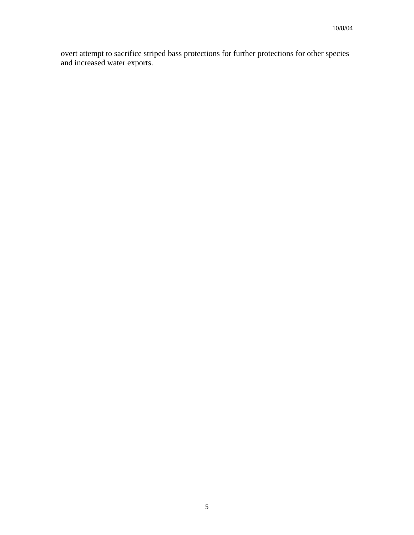overt attempt to sacrifice striped bass protections for further protections for other species and increased water exports.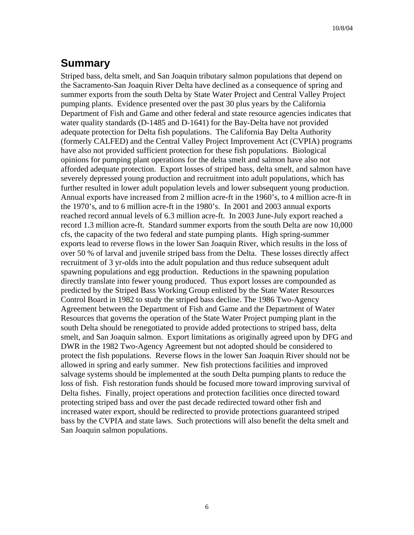## **Summary**

Striped bass, delta smelt, and San Joaquin tributary salmon populations that depend on the Sacramento-San Joaquin River Delta have declined as a consequence of spring and summer exports from the south Delta by State Water Project and Central Valley Project pumping plants. Evidence presented over the past 30 plus years by the California Department of Fish and Game and other federal and state resource agencies indicates that water quality standards (D-1485 and D-1641) for the Bay-Delta have not provided adequate protection for Delta fish populations. The California Bay Delta Authority (formerly CALFED) and the Central Valley Project Improvement Act (CVPIA) programs have also not provided sufficient protection for these fish populations. Biological opinions for pumping plant operations for the delta smelt and salmon have also not afforded adequate protection. Export losses of striped bass, delta smelt, and salmon have severely depressed young production and recruitment into adult populations, which has further resulted in lower adult population levels and lower subsequent young production. Annual exports have increased from 2 million acre-ft in the 1960's, to 4 million acre-ft in the 1970's, and to 6 million acre-ft in the 1980's. In 2001 and 2003 annual exports reached record annual levels of 6.3 million acre-ft. In 2003 June-July export reached a record 1.3 million acre-ft. Standard summer exports from the south Delta are now 10,000 cfs, the capacity of the two federal and state pumping plants. High spring-summer exports lead to reverse flows in the lower San Joaquin River, which results in the loss of over 50 % of larval and juvenile striped bass from the Delta. These losses directly affect recruitment of 3 yr-olds into the adult population and thus reduce subsequent adult spawning populations and egg production. Reductions in the spawning population directly translate into fewer young produced. Thus export losses are compounded as predicted by the Striped Bass Working Group enlisted by the State Water Resources Control Board in 1982 to study the striped bass decline. The 1986 Two-Agency Agreement between the Department of Fish and Game and the Department of Water Resources that governs the operation of the State Water Project pumping plant in the south Delta should be renegotiated to provide added protections to striped bass, delta smelt, and San Joaquin salmon. Export limitations as originally agreed upon by DFG and DWR in the 1982 Two-Agency Agreement but not adopted should be considered to protect the fish populations. Reverse flows in the lower San Joaquin River should not be allowed in spring and early summer. New fish protections facilities and improved salvage systems should be implemented at the south Delta pumping plants to reduce the loss of fish. Fish restoration funds should be focused more toward improving survival of Delta fishes. Finally, project operations and protection facilities once directed toward protecting striped bass and over the past decade redirected toward other fish and increased water export, should be redirected to provide protections guaranteed striped bass by the CVPIA and state laws. Such protections will also benefit the delta smelt and San Joaquin salmon populations.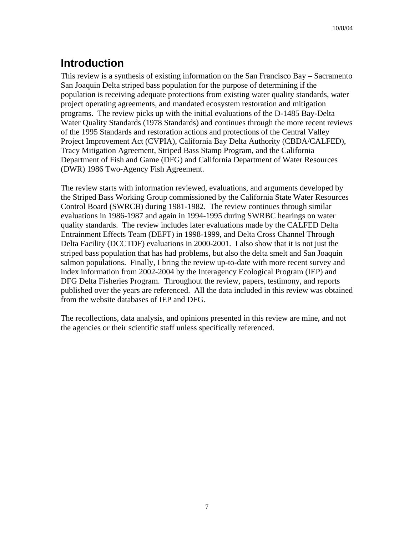# **Introduction**

This review is a synthesis of existing information on the San Francisco Bay – Sacramento San Joaquin Delta striped bass population for the purpose of determining if the population is receiving adequate protections from existing water quality standards, water project operating agreements, and mandated ecosystem restoration and mitigation programs. The review picks up with the initial evaluations of the D-1485 Bay-Delta Water Quality Standards (1978 Standards) and continues through the more recent reviews of the 1995 Standards and restoration actions and protections of the Central Valley Project Improvement Act (CVPIA), California Bay Delta Authority (CBDA/CALFED), Tracy Mitigation Agreement, Striped Bass Stamp Program, and the California Department of Fish and Game (DFG) and California Department of Water Resources (DWR) 1986 Two-Agency Fish Agreement.

The review starts with information reviewed, evaluations, and arguments developed by the Striped Bass Working Group commissioned by the California State Water Resources Control Board (SWRCB) during 1981-1982. The review continues through similar evaluations in 1986-1987 and again in 1994-1995 during SWRBC hearings on water quality standards. The review includes later evaluations made by the CALFED Delta Entrainment Effects Team (DEFT) in 1998-1999, and Delta Cross Channel Through Delta Facility (DCCTDF) evaluations in 2000-2001. I also show that it is not just the striped bass population that has had problems, but also the delta smelt and San Joaquin salmon populations. Finally, I bring the review up-to-date with more recent survey and index information from 2002-2004 by the Interagency Ecological Program (IEP) and DFG Delta Fisheries Program. Throughout the review, papers, testimony, and reports published over the years are referenced. All the data included in this review was obtained from the website databases of IEP and DFG.

The recollections, data analysis, and opinions presented in this review are mine, and not the agencies or their scientific staff unless specifically referenced.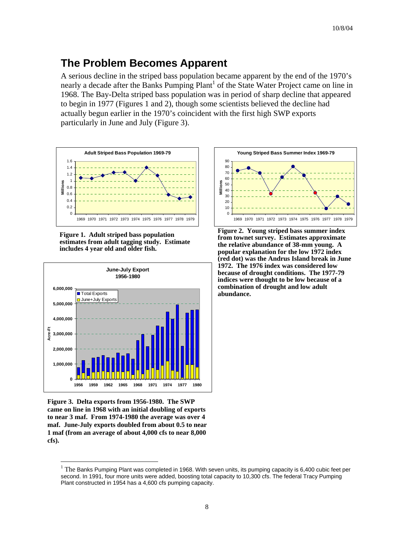## **The Problem Becomes Apparent**

A serious decline in the striped bass population became apparent by the end of the 1970's nearly a decade after the Banks Pumping Plant<sup>1</sup> of the State Water Project came on line in 1968. The Bay-Delta striped bass population was in period of sharp decline that appeared to begin in 1977 (Figures 1 and 2), though some scientists believed the decline had actually begun earlier in the 1970's coincident with the first high SWP exports particularly in June and July (Figure 3).







**Figure 3. Delta exports from 1956-1980. The SWP came on line in 1968 with an initial doubling of exports to near 3 maf. From 1974-1980 the average was over 4 maf. June-July exports doubled from about 0.5 to near 1 maf (from an average of about 4,000 cfs to near 8,000 cfs).** 

 $\overline{a}$ 



**Figure 2. Young striped bass summer index from townet survey. Estimates approximate the relative abundance of 38-mm young. A popular explanation for the low 1972 index (red dot) was the Andrus Island break in June 1972. The 1976 index was considered low because of drought conditions. The 1977-79 indices were thought to be low because of a combination of drought and low adult abundance.** 

<span id="page-7-0"></span> $1$  The Banks Pumping Plant was completed in 1968. With seven units, its pumping capacity is 6,400 cubic feet per second. In 1991, four more units were added, boosting total capacity to 10,300 cfs. The federal Tracy Pumping Plant constructed in 1954 has a 4,600 cfs pumping capacity.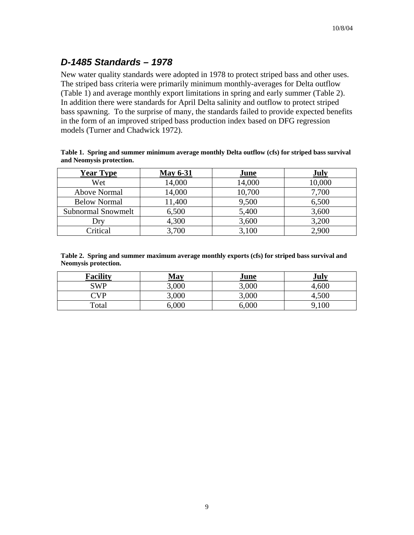## *D-1485 Standards – 1978*

New water quality standards were adopted in 1978 to protect striped bass and other uses. The striped bass criteria were primarily minimum monthly-averages for Delta outflow (Table 1) and average monthly export limitations in spring and early summer (Table 2). In addition there were standards for April Delta salinity and outflow to protect striped bass spawning. To the surprise of many, the standards failed to provide expected benefits in the form of an improved striped bass production index based on DFG regression models (Turner and Chadwick 1972).

|                          | Table 1. Spring and summer minimum average monthly Delta outflow (cfs) for striped bass survival |  |  |
|--------------------------|--------------------------------------------------------------------------------------------------|--|--|
| and Neomysis protection. |                                                                                                  |  |  |

| <b>Year Type</b>    | <b>May 6-31</b> | June   | <b>July</b> |
|---------------------|-----------------|--------|-------------|
| Wet                 | 14,000          | 14,000 | 10,000      |
| <b>Above Normal</b> | 14,000          | 10,700 | 7,700       |
| <b>Below Normal</b> | 11,400          | 9,500  | 6,500       |
| Subnormal Snowmelt  | 6,500           | 5,400  | 3,600       |
| Drv                 | 4,300           | 3,600  | 3,200       |
| Critical            | 3,700           | 3,100  | 2,900       |

**Table 2. Spring and summer maximum average monthly exports (cfs) for striped bass survival and Neomysis protection.** 

| <b>Facility</b>                  | May   | June  | July  |
|----------------------------------|-------|-------|-------|
| SWP                              | 3,000 | 3,000 | 4,600 |
| $\mathbb{C}\mathsf{V}\mathsf{P}$ | 3,000 | 3,000 | 4,500 |
| Total                            | 6,000 | 6,000 | 9,100 |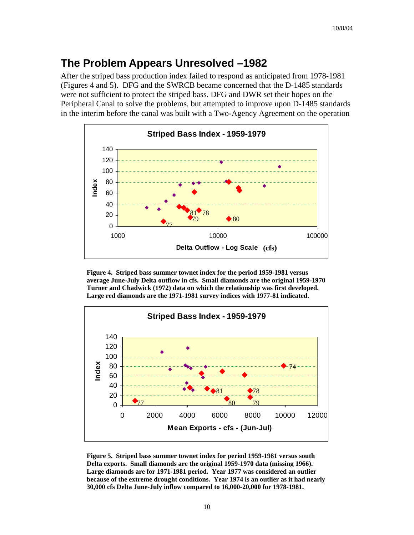## **The Problem Appears Unresolved –1982**

After the striped bass production index failed to respond as anticipated from 1978-1981 (Figures 4 and 5). DFG and the SWRCB became concerned that the D-1485 standards were not sufficient to protect the striped bass. DFG and DWR set their hopes on the Peripheral Canal to solve the problems, but attempted to improve upon D-1485 standards in the interim before the canal was built with a Two-Agency Agreement on the operation



**Figure 4. Striped bass summer townet index for the period 1959-1981 versus average June-July Delta outflow in cfs. Small diamonds are the original 1959-1970 Turner and Chadwick (1972) data on which the relationship was first developed. Large red diamonds are the 1971-1981 survey indices with 1977-81 indicated.** 



**Figure 5. Striped bass summer townet index for period 1959-1981 versus south Delta exports. Small diamonds are the original 1959-1970 data (missing 1966). Large diamonds are for 1971-1981 period. Year 1977 was considered an outlier because of the extreme drought conditions. Year 1974 is an outlier as it had nearly 30,000 cfs Delta June-July inflow compared to 16,000-20,000 for 1978-1981.**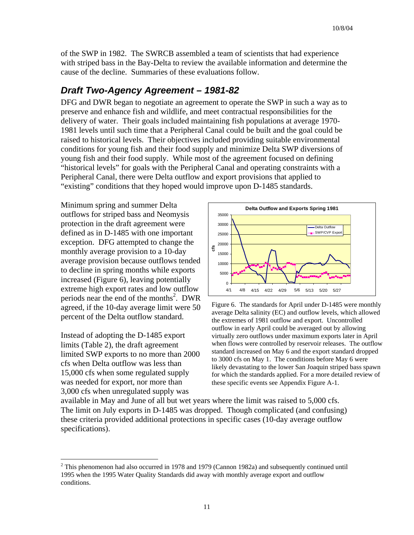of the SWP in 1982. The SWRCB assembled a team of scientists that had experience with striped bass in the Bay-Delta to review the available information and determine the cause of the decline. Summaries of these evaluations follow.

#### *Draft Two-Agency Agreement – 1981-82*

DFG and DWR began to negotiate an agreement to operate the SWP in such a way as to preserve and enhance fish and wildlife, and meet contractual responsibilities for the delivery of water. Their goals included maintaining fish populations at average 1970- 1981 levels until such time that a Peripheral Canal could be built and the goal could be raised to historical levels. Their objectives included providing suitable environmental conditions for young fish and their food supply and minimize Delta SWP diversions of young fish and their food supply. While most of the agreement focused on defining "historical levels" for goals with the Peripheral Canal and operating constraints with a Peripheral Canal, there were Delta outflow and export provisions that applied to "existing" conditions that they hoped would improve upon D-1485 standards.

Minimum spring and summer Delta outflows for striped bass and Neomysis protection in the draft agreement were defined as in D-1485 with one important exception. DFG attempted to change the monthly average provision to a 10-day average provision because outflows t ended to decline in spring months while exports increased (Figure 6), leaving potential ly extreme high export rates and low outflow periods near the end of the months<sup>2</sup>[.](#page-10-0) DWR agreed, if the 10-day average limit wer e 50 percent of the Delta outflow standard.

Instead of adopting the D-1485 export limited SWP exports to no more than 2000 15,000 cfs when some regulated supply s 3,000 cfs when unregulated supply wa limits (Table 2), the draft agreement cfs when Delta outflow was less than was needed for export, nor more than

1



Figure 6. The standards for April under D-1485 were monthly average Delta salinity (EC) and outflow levels, which allowed the extremes of 1981 outflow and export. Uncontrolled outflow in early April could be averaged out by allowing virtually zero outflows under maximum exports later in April when flows were controlled by reservoir releases. The outflow standard increased on May 6 and the export standard dropped to 3000 cfs on May 1. The conditions before May 6 were likely devastating to the lower San Joaquin striped bass spawn for which the standards applied. For a more detailed review of these specific events see Appendix Figure A-1.

The limit on July exports in D-1485 was dropped. Though complicated (and confusing) these criteria provided additional protections in specific cases (10-day average outflow available in May and June of all but wet years where the limit was raised to 5,000 cfs. specifications).

<span id="page-10-0"></span> $2$  This phenomenon had also occurred in 1978 and 1979 (Cannon 1982a) and subsequently continued until 1995 when the 1995 Water Quality Standards did away with monthly average export and outflow conditions.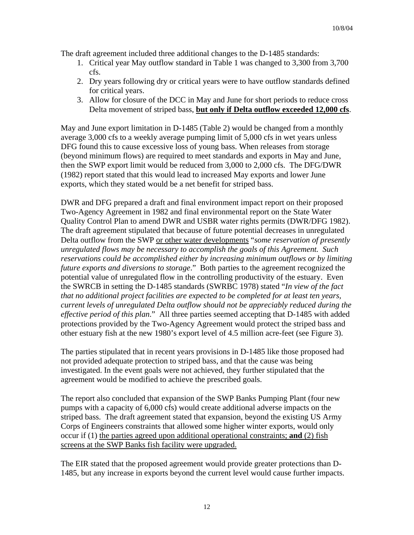The draft agreement included three additional changes to the D-1485 standards:

- 1. Critical year May outflow standard in Table 1 was changed to 3,300 from 3,700 cfs.
- 2. Dry years following dry or critical years were to have outflow standards defined for critical years.
- 3. Allow for closure of the DCC in May and June for short periods to reduce cross Delta movement of striped bass, **but only if Delta outflow exceeded 12,000 cfs**.

May and June export limitation in D-1485 (Table 2) would be changed from a monthly average 3,000 cfs to a weekly average pumping limit of 5,000 cfs in wet years unless DFG found this to cause excessive loss of young bass. When releases from storage (beyond minimum flows) are required to meet standards and exports in May and June, then the SWP export limit would be reduced from 3,000 to 2,000 cfs. The DFG/DWR (1982) report stated that this would lead to increased May exports and lower June exports, which they stated would be a net benefit for striped bass.

DWR and DFG prepared a draft and final environment impact report on their proposed Two-Agency Agreement in 1982 and final environmental report on the State Water Quality Control Plan to amend DWR and USBR water rights permits (DWR/DFG 1982). The draft agreement stipulated that because of future potential decreases in unregulated Delta outflow from the SWP or other water developments "*some reservation of presently unregulated flows may be necessary to accomplish the goals of this Agreement. Such reservations could be accomplished either by increasing minimum outflows or by limiting future exports and diversions to storage*." Both parties to the agreement recognized the potential value of unregulated flow in the controlling productivity of the estuary. Even the SWRCB in setting the D-1485 standards (SWRBC 1978) stated "*In view of the fact that no additional project facilities are expected to be completed for at least ten years, current levels of unregulated Delta outflow should not be appreciably reduced during the effective period of this plan*." All three parties seemed accepting that D-1485 with added protections provided by the Two-Agency Agreement would protect the striped bass and other estuary fish at the new 1980's export level of 4.5 million acre-feet (see Figure 3).

The parties stipulated that in recent years provisions in D-1485 like those proposed had not provided adequate protection to striped bass, and that the cause was being investigated. In the event goals were not achieved, they further stipulated that the agreement would be modified to achieve the prescribed goals.

The report also concluded that expansion of the SWP Banks Pumping Plant (four new pumps with a capacity of 6,000 cfs) would create additional adverse impacts on the striped bass. The draft agreement stated that expansion, beyond the existing US Army Corps of Engineers constraints that allowed some higher winter exports, would only occur if (1) the parties agreed upon additional operational constraints; **and** (2) fish screens at the SWP Banks fish facility were upgraded.

The EIR stated that the proposed agreement would provide greater protections than D-1485, but any increase in exports beyond the current level would cause further impacts.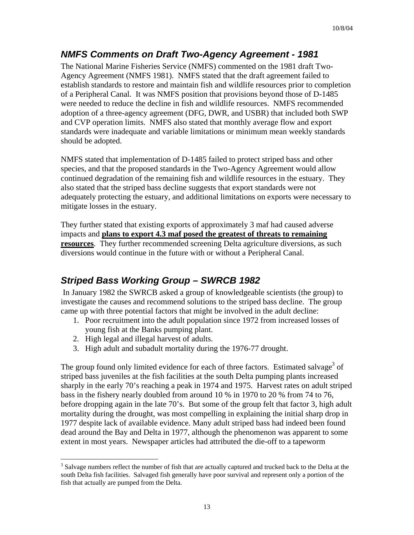### *NMFS Comments on Draft Two-Agency Agreement - 1981*

The National Marine Fisheries Service (NMFS) commented on the 1981 draft Two-Agency Agreement (NMFS 1981). NMFS stated that the draft agreement failed to establish standards to restore and maintain fish and wildlife resources prior to completion of a Peripheral Canal. It was NMFS position that provisions beyond those of D-1485 were needed to reduce the decline in fish and wildlife resources. NMFS recommended adoption of a three-agency agreement (DFG, DWR, and USBR) that included both SWP and CVP operation limits. NMFS also stated that monthly average flow and export standards were inadequate and variable limitations or minimum mean weekly standards should be adopted.

NMFS stated that implementation of D-1485 failed to protect striped bass and other species, and that the proposed standards in the Two-Agency Agreement would allow continued degradation of the remaining fish and wildlife resources in the estuary. They also stated that the striped bass decline suggests that export standards were not adequately protecting the estuary, and additional limitations on exports were necessary to mitigate losses in the estuary.

They further stated that existing exports of approximately 3 maf had caused adverse impacts and **plans to export 4.3 maf posed the greatest of threats to remaining resources**. They further recommended screening Delta agriculture diversions, as such diversions would continue in the future with or without a Peripheral Canal.

### *Striped Bass Working Group – SWRCB 1982*

 In January 1982 the SWRCB asked a group of knowledgeable scientists (the group) to investigate the causes and recommend solutions to the striped bass decline. The group came up with three potential factors that might be involved in the adult decline:

- 1. Poor recruitment into the adult population since 1972 from increased losses of young fish at the Banks pumping plant.
- 2. High legal and illegal harvest of adults.
- 3. High adult and subadult mortality during the 1976-77 drought.

The group found only limited evidence for each of three factors. Estimated salvage<sup>3</sup> of striped bass juveniles at the fish facilities at the south Delta pumping plants increased sharply in the early 70's reaching a peak in 1974 and 1975. Harvest rates on adult striped bass in the fishery nearly doubled from around 10 % in 1970 to 20 % from 74 to 76, before dropping again in the late 70's. But some of the group felt that factor 3, high adult mortality during the drought, was most compelling in explaining the initial sharp drop in 1977 despite lack of available evidence. Many adult striped bass had indeed been found dead around the Bay and Delta in 1977, although the phenomenon was apparent to some extent in most years. Newspaper articles had attributed the die-off to a tapeworm

<span id="page-12-0"></span><sup>1</sup> <sup>3</sup> Salvage numbers reflect the number of fish that are actually captured and trucked back to the Delta at the south Delta fish facilities. Salvaged fish generally have poor survival and represent only a portion of the fish that actually are pumped from the Delta.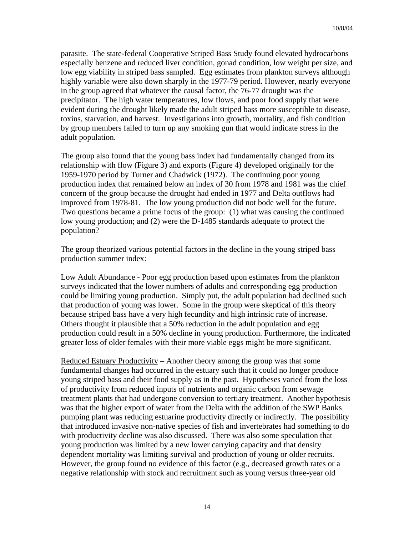parasite. The state-federal Cooperative Striped Bass Study found elevated hydrocarbons especially benzene and reduced liver condition, gonad condition, low weight per size, and low egg viability in striped bass sampled. Egg estimates from plankton surveys although highly variable were also down sharply in the 1977-79 period. However, nearly everyone in the group agreed that whatever the causal factor, the 76-77 drought was the precipitator. The high water temperatures, low flows, and poor food supply that were evident during the drought likely made the adult striped bass more susceptible to disease, toxins, starvation, and harvest. Investigations into growth, mortality, and fish condition by group members failed to turn up any smoking gun that would indicate stress in the adult population.

The group also found that the young bass index had fundamentally changed from its relationship with flow (Figure 3) and exports (Figure 4) developed originally for the 1959-1970 period by Turner and Chadwick (1972). The continuing poor young production index that remained below an index of 30 from 1978 and 1981 was the chief concern of the group because the drought had ended in 1977 and Delta outflows had improved from 1978-81. The low young production did not bode well for the future. Two questions became a prime focus of the group: (1) what was causing the continued low young production; and (2) were the D-1485 standards adequate to protect the population?

The group theorized various potential factors in the decline in the young striped bass production summer index:

Low Adult Abundance - Poor egg production based upon estimates from the plankton surveys indicated that the lower numbers of adults and corresponding egg production could be limiting young production. Simply put, the adult population had declined such that production of young was lower. Some in the group were skeptical of this theory because striped bass have a very high fecundity and high intrinsic rate of increase. Others thought it plausible that a 50% reduction in the adult population and egg production could result in a 50% decline in young production. Furthermore, the indicated greater loss of older females with their more viable eggs might be more significant.

Reduced Estuary Productivity – Another theory among the group was that some fundamental changes had occurred in the estuary such that it could no longer produce young striped bass and their food supply as in the past. Hypotheses varied from the loss of productivity from reduced inputs of nutrients and organic carbon from sewage treatment plants that had undergone conversion to tertiary treatment. Another hypothesis was that the higher export of water from the Delta with the addition of the SWP Banks pumping plant was reducing estuarine productivity directly or indirectly. The possibility that introduced invasive non-native species of fish and invertebrates had something to do with productivity decline was also discussed. There was also some speculation that young production was limited by a new lower carrying capacity and that density dependent mortality was limiting survival and production of young or older recruits. However, the group found no evidence of this factor (e.g., decreased growth rates or a negative relationship with stock and recruitment such as young versus three-year old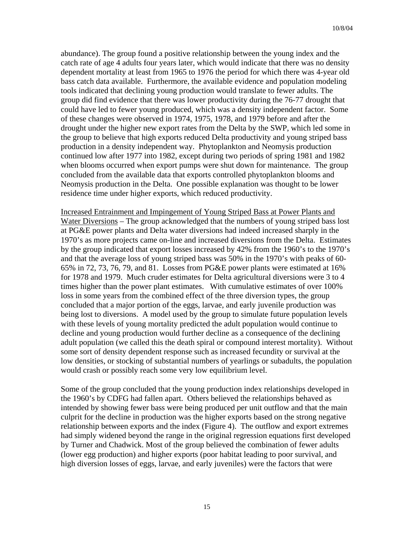abundance). The group found a positive relationship between the young index and the catch rate of age 4 adults four years later, which would indicate that there was no density dependent mortality at least from 1965 to 1976 the period for which there was 4-year old bass catch data available. Furthermore, the available evidence and population modeling tools indicated that declining young production would translate to fewer adults. The group did find evidence that there was lower productivity during the 76-77 drought that could have led to fewer young produced, which was a density independent factor. Some of these changes were observed in 1974, 1975, 1978, and 1979 before and after the drought under the higher new export rates from the Delta by the SWP, which led some in the group to believe that high exports reduced Delta productivity and young striped bass production in a density independent way. Phytoplankton and Neomysis production continued low after 1977 into 1982, except during two periods of spring 1981 and 1982 when blooms occurred when export pumps were shut down for maintenance. The group concluded from the available data that exports controlled phytoplankton blooms and Neomysis production in the Delta. One possible explanation was thought to be lower residence time under higher exports, which reduced productivity.

Increased Entrainment and Impingement of Young Striped Bass at Power Plants and Water Diversions – The group acknowledged that the numbers of young striped bass lost at PG&E power plants and Delta water diversions had indeed increased sharply in the 1970's as more projects came on-line and increased diversions from the Delta. Estimates by the group indicated that export losses increased by 42% from the 1960's to the 1970's and that the average loss of young striped bass was 50% in the 1970's with peaks of 60- 65% in 72, 73, 76, 79, and 81. Losses from PG&E power plants were estimated at 16% for 1978 and 1979. Much cruder estimates for Delta agricultural diversions were 3 to 4 times higher than the power plant estimates. With cumulative estimates of over 100% loss in some years from the combined effect of the three diversion types, the group concluded that a major portion of the eggs, larvae, and early juvenile production was being lost to diversions. A model used by the group to simulate future population levels with these levels of young mortality predicted the adult population would continue to decline and young production would further decline as a consequence of the declining adult population (we called this the death spiral or compound interest mortality). Without some sort of density dependent response such as increased fecundity or survival at the low densities, or stocking of substantial numbers of yearlings or subadults, the population would crash or possibly reach some very low equilibrium level.

Some of the group concluded that the young production index relationships developed in the 1960's by CDFG had fallen apart. Others believed the relationships behaved as intended by showing fewer bass were being produced per unit outflow and that the main culprit for the decline in production was the higher exports based on the strong negative relationship between exports and the index (Figure 4). The outflow and export extremes had simply widened beyond the range in the original regression equations first developed by Turner and Chadwick. Most of the group believed the combination of fewer adults (lower egg production) and higher exports (poor habitat leading to poor survival, and high diversion losses of eggs, larvae, and early juveniles) were the factors that were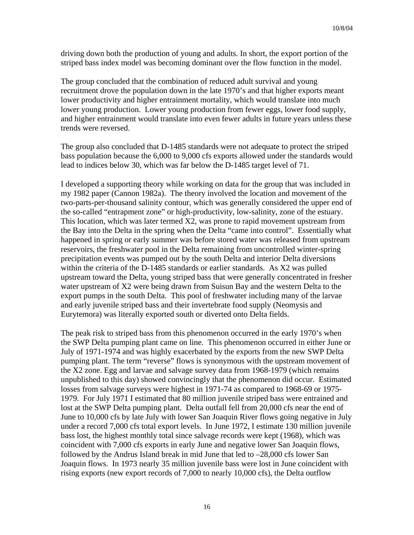driving down both the production of young and adults. In short, the export portion of the striped bass index model was becoming dominant over the flow function in the model.

The group concluded that the combination of reduced adult survival and young recruitment drove the population down in the late 1970's and that higher exports meant lower productivity and higher entrainment mortality, which would translate into much lower young production. Lower young production from fewer eggs, lower food supply, and higher entrainment would translate into even fewer adults in future years unless these trends were reversed.

The group also concluded that D-1485 standards were not adequate to protect the striped bass population because the 6,000 to 9,000 cfs exports allowed under the standards would lead to indices below 30, which was far below the D-1485 target level of 71.

I developed a supporting theory while working on data for the group that was included in my 1982 paper (Cannon 1982a). The theory involved the location and movement of the two-parts-per-thousand salinity contour, which was generally considered the upper end of the so-called "entrapment zone" or high-productivity, low-salinity, zone of the estuary. This location, which was later termed X2, was prone to rapid movement upstream from the Bay into the Delta in the spring when the Delta "came into control". Essentially what happened in spring or early summer was before stored water was released from upstream reservoirs, the freshwater pool in the Delta remaining from uncontrolled winter-spring precipitation events was pumped out by the south Delta and interior Delta diversions within the criteria of the D-1485 standards or earlier standards. As X2 was pulled upstream toward the Delta, young striped bass that were generally concentrated in fresher water upstream of X2 were being drawn from Suisun Bay and the western Delta to the export pumps in the south Delta. This pool of freshwater including many of the larvae and early juvenile striped bass and their invertebrate food supply (Neomysis and Eurytemora) was literally exported south or diverted onto Delta fields.

The peak risk to striped bass from this phenomenon occurred in the early 1970's when the SWP Delta pumping plant came on line. This phenomenon occurred in either June or July of 1971-1974 and was highly exacerbated by the exports from the new SWP Delta pumping plant. The term "reverse" flows is synonymous with the upstream movement of the X2 zone. Egg and larvae and salvage survey data from 1968-1979 (which remains unpublished to this day) showed convincingly that the phenomenon did occur. Estimated losses from salvage surveys were highest in 1971-74 as compared to 1968-69 or 1975- 1979. For July 1971 I estimated that 80 million juvenile striped bass were entrained and lost at the SWP Delta pumping plant. Delta outfall fell from 20,000 cfs near the end of June to 10,000 cfs by late July with lower San Joaquin River flows going negative in July under a record 7,000 cfs total export levels. In June 1972, I estimate 130 million juvenile bass lost, the highest monthly total since salvage records were kept (1968), which was coincident with 7,000 cfs exports in early June and negative lower San Joaquin flows, followed by the Andrus Island break in mid June that led to –28,000 cfs lower San Joaquin flows. In 1973 nearly 35 million juvenile bass were lost in June coincident with rising exports (new export records of 7,000 to nearly 10,000 cfs), the Delta outflow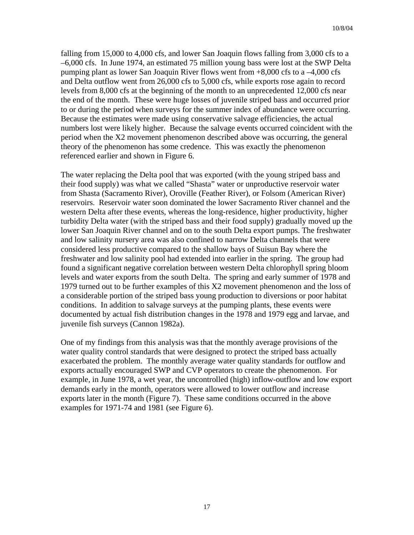falling from 15,000 to 4,000 cfs, and lower San Joaquin flows falling from 3,000 cfs to a –6,000 cfs. In June 1974, an estimated 75 million young bass were lost at the SWP Delta pumping plant as lower San Joaquin River flows went from +8,000 cfs to a –4,000 cfs and Delta outflow went from 26,000 cfs to 5,000 cfs, while exports rose again to record levels from 8,000 cfs at the beginning of the month to an unprecedented 12,000 cfs near the end of the month. These were huge losses of juvenile striped bass and occurred prior to or during the period when surveys for the summer index of abundance were occurring. Because the estimates were made using conservative salvage efficiencies, the actual numbers lost were likely higher. Because the salvage events occurred coincident with the period when the X2 movement phenomenon described above was occurring, the general theory of the phenomenon has some credence. This was exactly the phenomenon referenced earlier and shown in Figure 6.

The water replacing the Delta pool that was exported (with the young striped bass and their food supply) was what we called "Shasta" water or unproductive reservoir water from Shasta (Sacramento River), Oroville (Feather River), or Folsom (American River) reservoirs. Reservoir water soon dominated the lower Sacramento River channel and the western Delta after these events, whereas the long-residence, higher productivity, higher turbidity Delta water (with the striped bass and their food supply) gradually moved up the lower San Joaquin River channel and on to the south Delta export pumps. The freshwater and low salinity nursery area was also confined to narrow Delta channels that were considered less productive compared to the shallow bays of Suisun Bay where the freshwater and low salinity pool had extended into earlier in the spring. The group had found a significant negative correlation between western Delta chlorophyll spring bloom levels and water exports from the south Delta. The spring and early summer of 1978 and 1979 turned out to be further examples of this X2 movement phenomenon and the loss of a considerable portion of the striped bass young production to diversions or poor habitat conditions. In addition to salvage surveys at the pumping plants, these events were documented by actual fish distribution changes in the 1978 and 1979 egg and larvae, and juvenile fish surveys (Cannon 1982a).

One of my findings from this analysis was that the monthly average provisions of the water quality control standards that were designed to protect the striped bass actually exacerbated the problem. The monthly average water quality standards for outflow and exports actually encouraged SWP and CVP operators to create the phenomenon. For example, in June 1978, a wet year, the uncontrolled (high) inflow-outflow and low export demands early in the month, operators were allowed to lower outflow and increase exports later in the month (Figure 7). These same conditions occurred in the above examples for 1971-74 and 1981 (see Figure 6).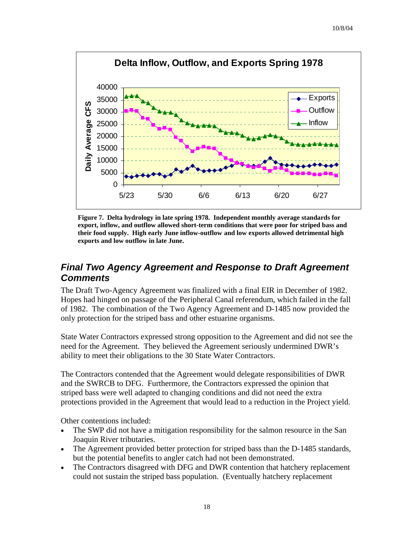

**Figure 7. Delta hydrology in late spring 1978. Independent monthly average standards for export, inflow, and outflow allowed short-term conditions that were poor for striped bass and their food supply. High early June inflow-outflow and low exports allowed detrimental high exports and low outflow in late June.**

### *Final Two Agency Agreement and Response to Draft Agreement Comments*

The Draft Two-Agency Agreement was finalized with a final EIR in December of 1982. Hopes had hinged on passage of the Peripheral Canal referendum, which failed in the fall of 1982. The combination of the Two Agency Agreement and D-1485 now provided the only protection for the striped bass and other estuarine organisms.

State Water Contractors expressed strong opposition to the Agreement and did not see the need for the Agreement. They believed the Agreement seriously undermined DWR's ability to meet their obligations to the 30 State Water Contractors.

The Contractors contended that the Agreement would delegate responsibilities of DWR and the SWRCB to DFG. Furthermore, the Contractors expressed the opinion that striped bass were well adapted to changing conditions and did not need the extra protections provided in the Agreement that would lead to a reduction in the Project yield.

Other contentions included:

- The SWP did not have a mitigation responsibility for the salmon resource in the San Joaquin River tributaries.
- The Agreement provided better protection for striped bass than the D-1485 standards, but the potential benefits to angler catch had not been demonstrated.
- The Contractors disagreed with DFG and DWR contention that hatchery replacement could not sustain the striped bass population. (Eventually hatchery replacement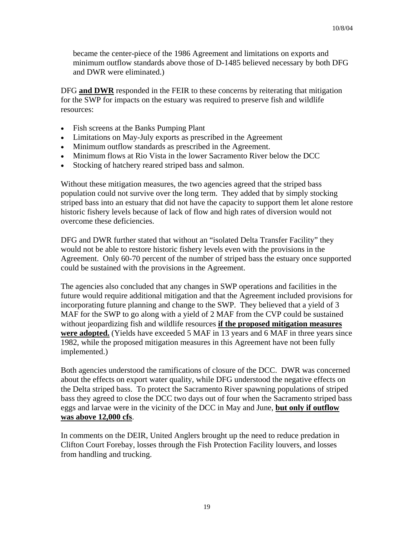became the center-piece of the 1986 Agreement and limitations on exports and minimum outflow standards above those of D-1485 believed necessary by both DFG and DWR were eliminated.)

DFG **and DWR** responded in the FEIR to these concerns by reiterating that mitigation for the SWP for impacts on the estuary was required to preserve fish and wildlife resources:

- Fish screens at the Banks Pumping Plant
- Limitations on May-July exports as prescribed in the Agreement
- Minimum outflow standards as prescribed in the Agreement.
- Minimum flows at Rio Vista in the lower Sacramento River below the DCC
- Stocking of hatchery reared striped bass and salmon.

Without these mitigation measures, the two agencies agreed that the striped bass population could not survive over the long term. They added that by simply stocking striped bass into an estuary that did not have the capacity to support them let alone restore historic fishery levels because of lack of flow and high rates of diversion would not overcome these deficiencies.

DFG and DWR further stated that without an "isolated Delta Transfer Facility" they would not be able to restore historic fishery levels even with the provisions in the Agreement. Only 60-70 percent of the number of striped bass the estuary once supported could be sustained with the provisions in the Agreement.

The agencies also concluded that any changes in SWP operations and facilities in the future would require additional mitigation and that the Agreement included provisions for incorporating future planning and change to the SWP. They believed that a yield of 3 MAF for the SWP to go along with a yield of 2 MAF from the CVP could be sustained without jeopardizing fish and wildlife resources **if the proposed mitigation measures were adopted.** (Yields have exceeded 5 MAF in 13 years and 6 MAF in three years since 1982, while the proposed mitigation measures in this Agreement have not been fully implemented.)

Both agencies understood the ramifications of closure of the DCC. DWR was concerned about the effects on export water quality, while DFG understood the negative effects on the Delta striped bass. To protect the Sacramento River spawning populations of striped bass they agreed to close the DCC two days out of four when the Sacramento striped bass eggs and larvae were in the vicinity of the DCC in May and June, **but only if outflow was above 12,000 cfs**.

In comments on the DEIR, United Anglers brought up the need to reduce predation in Clifton Court Forebay, losses through the Fish Protection Facility louvers, and losses from handling and trucking.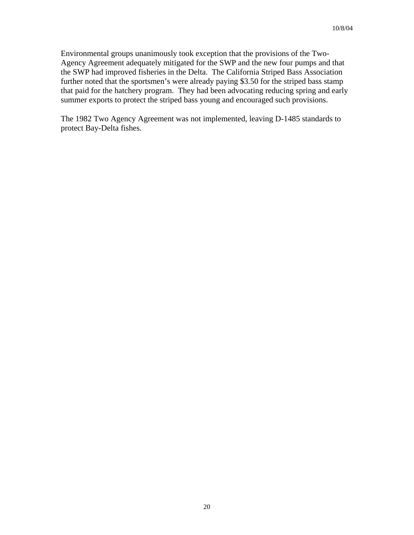Environmental groups unanimously took exception that the provisions of the Two-Agency Agreement adequately mitigated for the SWP and the new four pumps and that the SWP had improved fisheries in the Delta. The California Striped Bass Association further noted that the sportsmen's were already paying \$3.50 for the striped bass stamp that paid for the hatchery program. They had been advocating reducing spring and early summer exports to protect the striped bass young and encouraged such provisions.

The 1982 Two Agency Agreement was not implemented, leaving D-1485 standards to protect Bay-Delta fishes.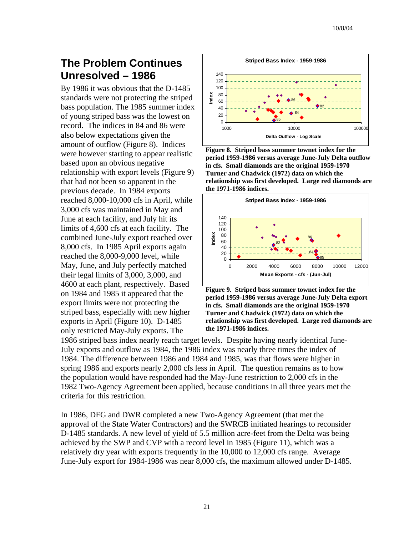# **The Problem Continues Unresolved – 1986**

By 1986 it was obvious that the D-1485 standards were not protecting the striped bass population. The 1985 summer i ndex of young striped bass was the lowest on record. The indices in 84 and 86 were also below expectations given the amount of outflow (Figure 8). Indic es were however starting to appear realistic based upon an obvious negative relationship with export levels (Figure 9) that had not been so apparent in the previous decade. In 1984 exports reached 8,000-10,000 cfs in April, while 3,000 cfs was maintained in May and June at each facility, and July hit its limits of 4,600 cfs at each facility. The combined June-July export reached over 8,000 cfs. In 1985 April exports again reached the 8,000-9,000 level, while May, June, and July perfectly matched their legal limits of 3,000, 3,000, and 4600 at each plant, respectively. Based on 1984 and 1985 it appeared that the export limits were not protecting the striped bass, especially with new higher exports in April (Figure 10). D-1485 only restricted May-July exports. The



**Figure 8. Striped bass summer townet index for the period 1959-1986 versus average June-July Delta outflow in cfs. Small diamonds are the original 1959-1970 Turner and Chadwick (1972) data on which the relationship was first developed. Large red diamonds are the 1971-1986 indices.**





1986 striped bass index nearly reach target levels. Despite having nearly identical June-July exports and outflow as 1984, the 1986 index was nearly three times the index of 1984. The difference between 1986 and 1984 and 1985, was that flows were higher in spring 1986 and exports nearly 2,000 cfs less in April. The question remains as to how the population would have responded had the May-June restriction to 2,000 cfs in the 1982 Two-Agency Agreement been applied, because conditions in all three years met the criteria for this restriction.

In 1986, DFG and DWR completed a new Two-Agency Agreement (that met the approval of the State Water Contractors) and the SWRCB initiated hearings to reconsider D-1485 standards. A new level of yield of 5.5 million acre-feet from the Delta was being achieved by the SWP and CVP with a record level in 1985 (Figure 11), which was a relatively dry year with exports frequently in the 10,000 to 12,000 cfs range. Average June-July export for 1984-1986 was near 8,000 cfs, the maximum allowed under D-1485.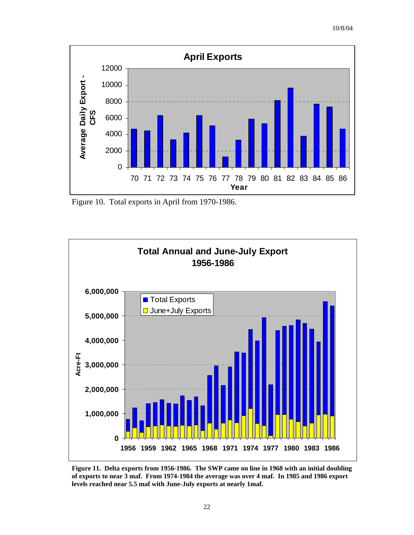

Figure 10. Total exports in April from 1970-1986.



**Figure 11. Delta exports from 1956-1986. The SWP came on line in 1968 with an initial doubling of exports to near 3 maf. From 1974-1984 the average was over 4 maf. In 1985 and 1986 export levels reached near 5.5 maf with June-July exports at nearly 1maf.**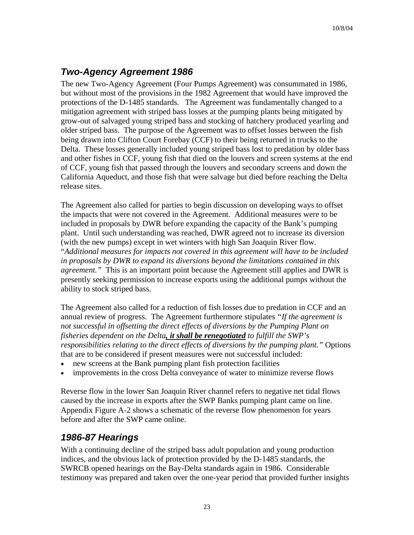## *Two-Agency Agreement 1986*

The new Two-Agency Agreement (Four Pumps Agreement) was consummated in 1986, but without most of the provisions in the 1982 Agreement that would have improved the protections of the D-1485 standards. The Agreement was fundamentally changed to a mitigation agreement with striped bass losses at the pumping plants being mitigated by grow-out of salvaged young striped bass and stocking of hatchery produced yearling and older striped bass. The purpose of the Agreement was to offset losses between the fish being drawn into Clifton Court Forebay (CCF) to their being returned in trucks to the Delta. These losses generally included young striped bass lost to predation by older bass and other fishes in CCF, young fish that died on the louvers and screen systems at the end of CCF, young fish that passed through the louvers and secondary screens and down the California Aqueduct, and those fish that were salvage but died before reaching the Delta release sites.

The Agreement also called for parties to begin discussion on developing ways to offset the impacts that were not covered in the Agreement. Additional measures were to be included in proposals by DWR before expanding the capacity of the Bank's pumping plant. Until such understanding was reached, DWR agreed not to increase its diversion (with the new pumps) except in wet winters with high San Joaquin River flow. "*Additional measures for impacts not covered in this agreement will have to be included in proposals by DWR to expand its diversions beyond the limitations contained in this agreement."* This is an important point because the Agreement still applies and DWR is presently seeking permission to increase exports using the additional pumps without the ability to stock striped bass.

The Agreement also called for a reduction of fish losses due to predation in CCF and an annual review of progress. The Agreement furthermore stipulates *"If the agreement is not successful in offsetting the direct effects of diversions by the Pumping Plant on fisheries dependent on the Delta, it shall be renegotiated to fulfill the SWP's responsibilities relating to the direct effects of diversions by the pumping plant."* Options that are to be considered if present measures were not successful included:

- new screens at the Bank pumping plant fish protection facilities
- improvements in the cross Delta conveyance of water to minimize reverse flows

Reverse flow in the lower San Joaquin River channel refers to negative net tidal flows caused by the increase in exports after the SWP Banks pumping plant came on line. Appendix Figure A-2 shows a schematic of the reverse flow phenomenon for years before and after the SWP came online.

### *1986-87 Hearings*

With a continuing decline of the striped bass adult population and young production indices, and the obvious lack of protection provided by the D-1485 standards, the SWRCB opened hearings on the Bay-Delta standards again in 1986. Considerable testimony was prepared and taken over the one-year period that provided further insights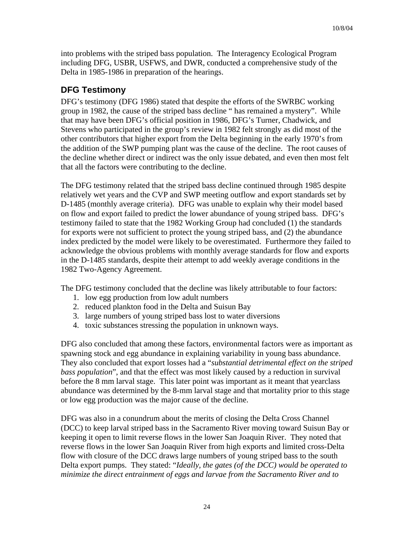into problems with the striped bass population. The Interagency Ecological Program including DFG, USBR, USFWS, and DWR, conducted a comprehensive study of the Delta in 1985-1986 in preparation of the hearings.

#### **DFG Testimony**

DFG's testimony (DFG 1986) stated that despite the efforts of the SWRBC working group in 1982, the cause of the striped bass decline " has remained a mystery". While that may have been DFG's official position in 1986, DFG's Turner, Chadwick, and Stevens who participated in the group's review in 1982 felt strongly as did most of the other contributors that higher export from the Delta beginning in the early 1970's from the addition of the SWP pumping plant was the cause of the decline. The root causes of the decline whether direct or indirect was the only issue debated, and even then most felt that all the factors were contributing to the decline.

The DFG testimony related that the striped bass decline continued through 1985 despite relatively wet years and the CVP and SWP meeting outflow and export standards set by D-1485 (monthly average criteria). DFG was unable to explain why their model based on flow and export failed to predict the lower abundance of young striped bass. DFG's testimony failed to state that the 1982 Working Group had concluded (1) the standards for exports were not sufficient to protect the young striped bass, and (2) the abundance index predicted by the model were likely to be overestimated. Furthermore they failed to acknowledge the obvious problems with monthly average standards for flow and exports in the D-1485 standards, despite their attempt to add weekly average conditions in the 1982 Two-Agency Agreement.

The DFG testimony concluded that the decline was likely attributable to four factors:

- 1. low egg production from low adult numbers
- 2. reduced plankton food in the Delta and Suisun Bay
- 3. large numbers of young striped bass lost to water diversions
- 4. toxic substances stressing the population in unknown ways.

DFG also concluded that among these factors, environmental factors were as important as spawning stock and egg abundance in explaining variability in young bass abundance. They also concluded that export losses had a "*substantial detrimental effect on the striped bass population*", and that the effect was most likely caused by a reduction in survival before the 8 mm larval stage. This later point was important as it meant that yearclass abundance was determined by the 8-mm larval stage and that mortality prior to this stage or low egg production was the major cause of the decline.

DFG was also in a conundrum about the merits of closing the Delta Cross Channel (DCC) to keep larval striped bass in the Sacramento River moving toward Suisun Bay or keeping it open to limit reverse flows in the lower San Joaquin River. They noted that reverse flows in the lower San Joaquin River from high exports and limited cross-Delta flow with closure of the DCC draws large numbers of young striped bass to the south Delta export pumps. They stated: "*Ideally, the gates (of the DCC) would be operated to minimize the direct entrainment of eggs and larvae from the Sacramento River and to*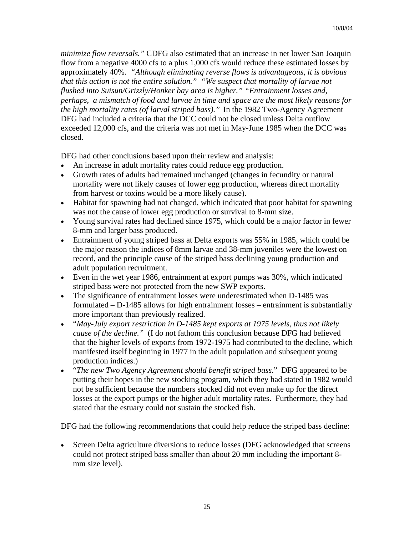*minimize flow reversals."* CDFG also estimated that an increase in net lower San Joaquin flow from a negative 4000 cfs to a plus 1,000 cfs would reduce these estimated losses by approximately 40%. *"Although eliminating reverse flows is advantageous, it is obvious that this action is not the entire solution." "We suspect that mortality of larvae not flushed into Suisun/Grizzly/Honker bay area is higher." "Entrainment losses and, perhaps, a mismatch of food and larvae in time and space are the most likely reasons for the high mortality rates (of larval striped bass)."* In the 1982 Two-Agency Agreement DFG had included a criteria that the DCC could not be closed unless Delta outflow exceeded 12,000 cfs, and the criteria was not met in May-June 1985 when the DCC was closed.

DFG had other conclusions based upon their review and analysis:

- An increase in adult mortality rates could reduce egg production.
- Growth rates of adults had remained unchanged (changes in fecundity or natural mortality were not likely causes of lower egg production, whereas direct mortality from harvest or toxins would be a more likely cause).
- Habitat for spawning had not changed, which indicated that poor habitat for spawning was not the cause of lower egg production or survival to 8-mm size.
- Young survival rates had declined since 1975, which could be a major factor in fewer 8-mm and larger bass produced.
- Entrainment of young striped bass at Delta exports was 55% in 1985, which could be the major reason the indices of 8mm larvae and 38-mm juveniles were the lowest on record, and the principle cause of the striped bass declining young production and adult population recruitment.
- Even in the wet year 1986, entrainment at export pumps was 30%, which indicated striped bass were not protected from the new SWP exports.
- The significance of entrainment losses were underestimated when D-1485 was formulated – D-1485 allows for high entrainment losses – entrainment is substantially more important than previously realized.
- "*May-July export restriction in D-1485 kept exports at 1975 levels, thus not likely cause of the decline."* (I do not fathom this conclusion because DFG had believed that the higher levels of exports from 1972-1975 had contributed to the decline, which manifested itself beginning in 1977 in the adult population and subsequent young production indices.)
- "*The new Two Agency Agreement should benefit striped bass*." DFG appeared to be putting their hopes in the new stocking program, which they had stated in 1982 would not be sufficient because the numbers stocked did not even make up for the direct losses at the export pumps or the higher adult mortality rates. Furthermore, they had stated that the estuary could not sustain the stocked fish.

DFG had the following recommendations that could help reduce the striped bass decline:

• Screen Delta agriculture diversions to reduce losses (DFG acknowledged that screens could not protect striped bass smaller than about 20 mm including the important 8 mm size level).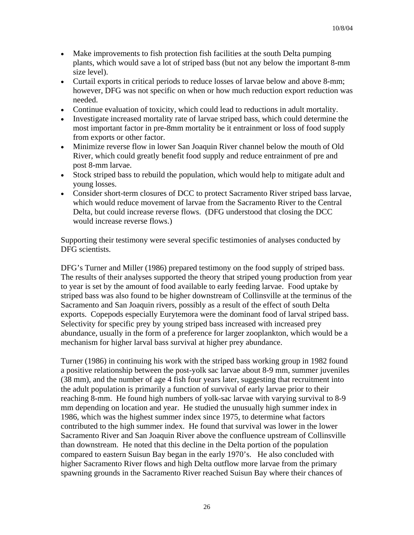- Make improvements to fish protection fish facilities at the south Delta pumping plants, which would save a lot of striped bass (but not any below the important 8-mm size level).
- Curtail exports in critical periods to reduce losses of larvae below and above 8-mm; however, DFG was not specific on when or how much reduction export reduction was needed.
- Continue evaluation of toxicity, which could lead to reductions in adult mortality.
- Investigate increased mortality rate of larvae striped bass, which could determine the most important factor in pre-8mm mortality be it entrainment or loss of food supply from exports or other factor.
- Minimize reverse flow in lower San Joaquin River channel below the mouth of Old River, which could greatly benefit food supply and reduce entrainment of pre and post 8-mm larvae.
- Stock striped bass to rebuild the population, which would help to mitigate adult and young losses.
- Consider short-term closures of DCC to protect Sacramento River striped bass larvae, which would reduce movement of larvae from the Sacramento River to the Central Delta, but could increase reverse flows. (DFG understood that closing the DCC would increase reverse flows.)

Supporting their testimony were several specific testimonies of analyses conducted by DFG scientists.

DFG's Turner and Miller (1986) prepared testimony on the food supply of striped bass. The results of their analyses supported the theory that striped young production from year to year is set by the amount of food available to early feeding larvae. Food uptake by striped bass was also found to be higher downstream of Collinsville at the terminus of the Sacramento and San Joaquin rivers, possibly as a result of the effect of south Delta exports. Copepods especially Eurytemora were the dominant food of larval striped bass. Selectivity for specific prey by young striped bass increased with increased prey abundance, usually in the form of a preference for larger zooplankton, which would be a mechanism for higher larval bass survival at higher prey abundance.

Turner (1986) in continuing his work with the striped bass working group in 1982 found a positive relationship between the post-yolk sac larvae about 8-9 mm, summer juveniles (38 mm), and the number of age 4 fish four years later, suggesting that recruitment into the adult population is primarily a function of survival of early larvae prior to their reaching 8-mm. He found high numbers of yolk-sac larvae with varying survival to 8-9 mm depending on location and year. He studied the unusually high summer index in 1986, which was the highest summer index since 1975, to determine what factors contributed to the high summer index. He found that survival was lower in the lower Sacramento River and San Joaquin River above the confluence upstream of Collinsville than downstream. He noted that this decline in the Delta portion of the population compared to eastern Suisun Bay began in the early 1970's. He also concluded with higher Sacramento River flows and high Delta outflow more larvae from the primary spawning grounds in the Sacramento River reached Suisun Bay where their chances of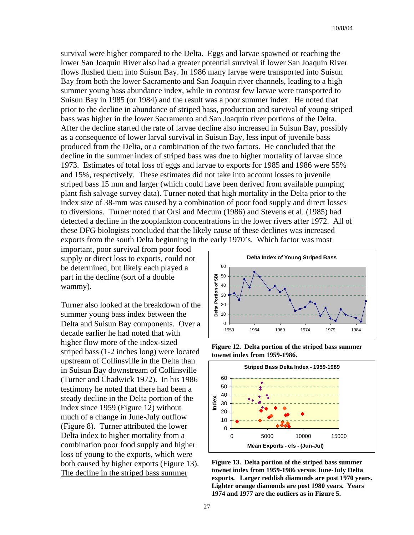survival were higher compared to the Delta. Eggs and larvae spawned or reaching the lower San Joaquin River also had a greater potential survival if lower San Joaquin River flows flushed them into Suisun Bay. In 1986 many larvae were transported into Suisun Bay from both the lower Sacramento and San Joaquin river channels, leading to a high summer young bass abundance index, while in contrast few larvae were transported to Suisun Bay in 1985 (or 1984) and the result was a poor summer index. He noted that prior to the decline in abundance of striped bass, production and survival of young striped bass was higher in the lower Sacramento and San Joaquin river portions of the Delta. After the decline started the rate of larvae decline also increased in Suisun Bay, possibly as a consequence of lower larval survival in Suisun Bay, less input of juvenile bass produced from the Delta, or a combination of the two factors. He concluded that the decline in the summer index of striped bass was due to higher mortality of larvae since 1973. Estimates of total loss of eggs and larvae to exports for 1985 and 1986 were 55% and 15%, respectively. These estimates did not take into account losses to juvenile striped bass 15 mm and larger (which could have been derived from available pumping plant fish salvage survey data). Turner noted that high mortality in the Delta prior to the index size of 38-mm was caused by a combination of poor food supply and direct losses to diversions. Turner noted that Orsi and Mecum (1986) and Stevens et al. (1985) had detected a decline in the zooplankton concentrations in the lower rivers after 1972. All of these DFG biologists concluded that the likely cause of these declines was increased exports from the south Delta beginning in the early 1970's. Which factor was most

important, poor survival from poor food supply or direct loss to exports, could not be determined, but likely each played a part in the decline (sort of a double wammy).

Turner also looked at the breakdown of the summer young bass index between the Delta and Suisun Bay components. Over a decade earlier he had noted that with higher flow more of the index-sized striped bass (1-2 inches long) were located upstream of Collinsville in the Delta than in Suisun Bay downstream of Collinsville (Turner and Chadwick 1972). In his 1986 testimony he noted that there had been a steady decline in the Delta portion of the index since 1959 (Figure 12) without much of a change in June-July outflow (Figure 8). Turner attributed the lower Delta index to higher mortality from a combination poor food supply and higher loss of young to the exports, which were both caused by higher exports (Figure 13). The decline in the striped bass summer



**Figure 12. Delta portion of the striped bass summer townet index from 1959-1986.** 



**Figure 13. Delta portion of the striped bass summer townet index from 1959-1986 versus June-July Delta exports. Larger reddish diamonds are post 1970 years. Lighter orange diamonds are post 1980 years. Years 1974 and 1977 are the outliers as in Figure 5.**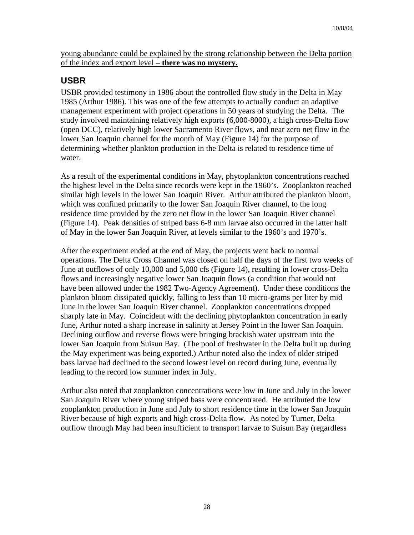young abundance could be explained by the strong relationship between the Delta portion of the index and export level – **there was no mystery.**

#### **USBR**

USBR provided testimony in 1986 about the controlled flow study in the Delta in May 1985 (Arthur 1986). This was one of the few attempts to actually conduct an adaptive management experiment with project operations in 50 years of studying the Delta. The study involved maintaining relatively high exports (6,000-8000), a high cross-Delta flow (open DCC), relatively high lower Sacramento River flows, and near zero net flow in the lower San Joaquin channel for the month of May (Figure 14) for the purpose of determining whether plankton production in the Delta is related to residence time of water.

As a result of the experimental conditions in May, phytoplankton concentrations reached the highest level in the Delta since records were kept in the 1960's. Zooplankton reached similar high levels in the lower San Joaquin River. Arthur attributed the plankton bloom, which was confined primarily to the lower San Joaquin River channel, to the long residence time provided by the zero net flow in the lower San Joaquin River channel (Figure 14). Peak densities of striped bass 6-8 mm larvae also occurred in the latter half of May in the lower San Joaquin River, at levels similar to the 1960's and 1970's.

After the experiment ended at the end of May, the projects went back to normal operations. The Delta Cross Channel was closed on half the days of the first two weeks of June at outflows of only 10,000 and 5,000 cfs (Figure 14), resulting in lower cross-Delta flows and increasingly negative lower San Joaquin flows (a condition that would not have been allowed under the 1982 Two-Agency Agreement). Under these conditions the plankton bloom dissipated quickly, falling to less than 10 micro-grams per liter by mid June in the lower San Joaquin River channel. Zooplankton concentrations dropped sharply late in May. Coincident with the declining phytoplankton concentration in early June, Arthur noted a sharp increase in salinity at Jersey Point in the lower San Joaquin. Declining outflow and reverse flows were bringing brackish water upstream into the lower San Joaquin from Suisun Bay. (The pool of freshwater in the Delta built up during the May experiment was being exported.) Arthur noted also the index of older striped bass larvae had declined to the second lowest level on record during June, eventually leading to the record low summer index in July.

Arthur also noted that zooplankton concentrations were low in June and July in the lower San Joaquin River where young striped bass were concentrated. He attributed the low zooplankton production in June and July to short residence time in the lower San Joaquin River because of high exports and high cross-Delta flow. As noted by Turner, Delta outflow through May had been insufficient to transport larvae to Suisun Bay (regardless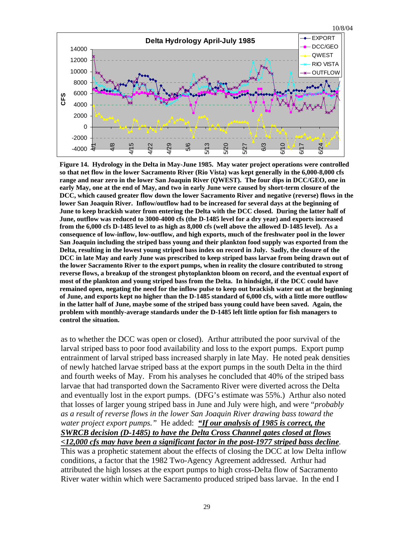

**Figure 14. Hydrology in the Delta in May-June 1985. May water project operations were controlled so that net flow in the lower Sacramento River (Rio Vista) was kept generally in the 6,000-8,000 cfs range and near zero in the lower San Joaquin River (QWEST). The four dips in DCC/GEO, one in early May, one at the end of May, and two in early June were caused by short-term closure of the DCC, which caused greater flow down the lower Sacramento River and negative (reverse) flows in the lower San Joaquin River. Inflow/outflow had to be increased for several days at the beginning of June to keep brackish water from entering the Delta with the DCC closed. During the latter half of June, outflow was reduced to 3000-4000 cfs (the D-1485 level for a dry year) and exports increased from the 6,000 cfs D-1485 level to as high as 8,000 cfs (well above the allowed D-1485 level). As a consequence of low-inflow, low-outflow, and high exports, much of the freshwater pool in the lower San Joaquin including the striped bass young and their plankton food supply was exported from the Delta, resulting in the lowest young striped bass index on record in July. Sadly, the closure of the DCC in late May and early June was prescribed to keep striped bass larvae from being drawn out of the lower Sacramento River to the export pumps, when in reality the closure contributed to strong reverse flows, a breakup of the strongest phytoplankton bloom on record, and the eventual export of most of the plankton and young striped bass from the Delta. In hindsight, if the DCC could have remained open, negating the need for the inflow pulse to keep out brackish water out at the beginning of June, and exports kept no higher than the D-1485 standard of 6,000 cfs, with a little more outflow in the latter half of June, maybe some of the striped bass young could have been saved. Again, the problem with monthly-average standards under the D-1485 left little option for fish managers to control the situation.** 

as to whether the DCC was open or closed). Arthur attributed the poor survival of the larval striped bass to poor food availability and loss to the export pumps. Export pump entrainment of larval striped bass increased sharply in late May. He noted peak densities of newly hatched larvae striped bass at the export pumps in the south Delta in the third and fourth weeks of May. From his analyses he concluded that 40% of the striped bass larvae that had transported down the Sacramento River were diverted across the Delta and eventually lost in the export pumps. (DFG's estimate was 55%.) Arthur also noted that losses of larger young striped bass in June and July were high, and were "*probably as a result of reverse flows in the lower San Joaquin River drawing bass toward the water project export pumps."* He added: *"If our analysis of 1985 is correct, the SWRCB decision (D-1485) to have the Delta Cross Channel gates closed at flows <12,000 cfs may have been a significant factor in the post-1977 striped bass decline.* 

This was a prophetic statement about the effects of closing the DCC at low Delta inflow conditions, a factor that the 1982 Two-Agency Agreement addressed. Arthur had attributed the high losses at the export pumps to high cross-Delta flow of Sacramento River water within which were Sacramento produced striped bass larvae. In the end I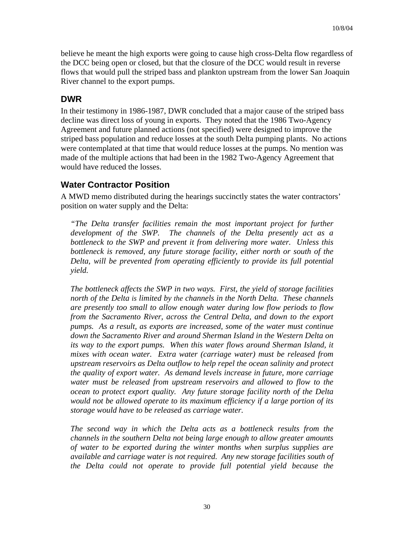believe he meant the high exports were going to cause high cross-Delta flow regardless of the DCC being open or closed, but that the closure of the DCC would result in reverse flows that would pull the striped bass and plankton upstream from the lower San Joaquin River channel to the export pumps.

#### **DWR**

In their testimony in 1986-1987, DWR concluded that a major cause of the striped bass decline was direct loss of young in exports. They noted that the 1986 Two-Agency Agreement and future planned actions (not specified) were designed to improve the striped bass population and reduce losses at the south Delta pumping plants. No actions were contemplated at that time that would reduce losses at the pumps. No mention was made of the multiple actions that had been in the 1982 Two-Agency Agreement that would have reduced the losses.

#### **Water Contractor Position**

A MWD memo distributed during the hearings succinctly states the water contractors' position on water supply and the Delta:

*"The Delta transfer facilities remain the most important project for further development of the SWP. The channels of the Delta presently act as a bottleneck to the SWP and prevent it from delivering more water. Unless this bottleneck is removed, any future storage facility, either north or south of the Delta, will be prevented from operating efficiently to provide its full potential yield.* 

*The bottleneck affects the SWP in two ways. First, the yield of storage facilities north of the Delta is limited by the channels in the North Delta. These channels are presently too small to allow enough water during low flow periods to flow from the Sacramento River, across the Central Delta, and down to the export pumps. As a result, as exports are increased, some of the water must continue down the Sacramento River and around Sherman Island in the Western Delta on*  its way to the export pumps. When this water flows around Sherman Island, it *mixes with ocean water. Extra water (carriage water) must be released from upstream reservoirs as Delta outflow to help repel the ocean salinity and protect the quality of export water. As demand levels increase in future, more carriage water must be released from upstream reservoirs and allowed to flow to the ocean to protect export quality. Any future storage facility north of the Delta would not be allowed operate to its maximum efficiency if a large portion of its storage would have to be released as carriage water.* 

*The second way in which the Delta acts as a bottleneck results from the channels in the southern Delta not being large enough to allow greater amounts of water to be exported during the winter months when surplus supplies are available and carriage water is not required. Any new storage facilities south of the Delta could not operate to provide full potential yield because the*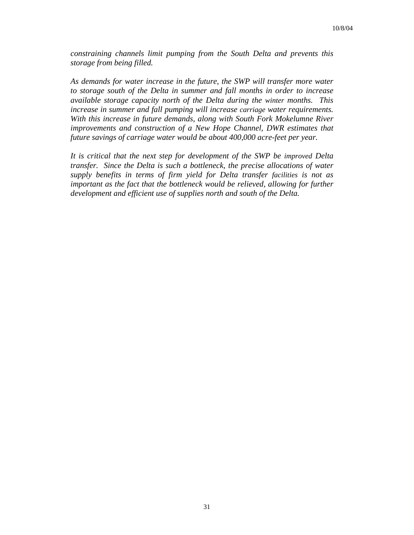*constraining channels limit pumping from the South Delta and prevents this storage from being filled.* 

*As demands for water increase in the future, the SWP will transfer more water to storage south of the Delta in summer and fall months in order to increase available storage capacity north of the Delta during the winter months. This increase in summer and fall pumping will increase carriage water requirements. With this increase in future demands, along with South Fork Mokelumne River improvements and construction of a New Hope Channel, DWR estimates that future savings of carriage water would be about 400,000 acre-feet per year.* 

*It is critical that the next step for development of the SWP be improved Delta transfer. Since the Delta is such a bottleneck, the precise allocations of water supply benefits in terms of firm yield for Delta transfer facilities is not as important as the fact that the bottleneck would be relieved, allowing for further development and efficient use of supplies north and south of the Delta.*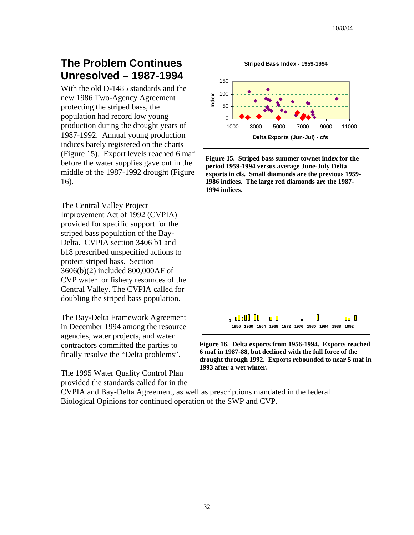# **The Problem Continues Unresolved – 1987-1994**

With the old D-1485 standards and the new 1986 Two-Agency Agreement protecting the striped bass, the population had record low young production during the drought years of 1987-1992. Annual young production indices barely registered on the charts (Figure 15). Export levels reached 6 m af before the water supplies gave out in the middle of the 1987-1992 drought (Figure 16).

The Central Valley Project Improvement Act of 1992 (CVPIA) provided for specific support for the striped bass population of the Bay-Delta. CVPIA section 3406 b1 and b18 prescribed unspecified actions to protect striped bass. Section 3606(b)(2) included 800,000AF of CVP water for fishery resources of the Central Valley. The CVPIA called for doubling the striped bass population.

The Bay-Delta Framework Agreement in December 1994 among the resource agencies, water projects, and water contractors committed the parties to finally resolve the "Delta problems".

The 1995 Water Quality Control Plan provided the standards called for in the



**Figure 15. Striped bass summer townet index for the period 1959-1994 versus average June-July Delta exports in cfs. Small diamonds are the previous 1959- 1986 indices. The large red diamonds are the 1987- 1994 indices.**



**Figure 16. Delta exports from 1956-1994. Exports reached 6 maf in 1987-88, but declined with the full force of the drought through 1992. Exports rebounded to near 5 maf in 1993 after a wet winter.**

CVPIA and Bay-Delta Agreement, as well as prescriptions mandated in the federal Biological Opinions for continued operation of the SWP and CVP.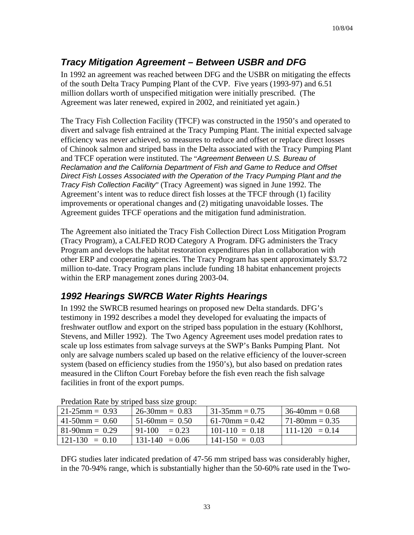## *Tracy Mitigation Agreement – Between USBR and DFG*

In 1992 an agreement was reached between DFG and the USBR on mitigating the effects of the south Delta Tracy Pumping Plant of the CVP. Five years (1993-97) and 6.51 million dollars worth of unspecified mitigation were initially prescribed. (The Agreement was later renewed, expired in 2002, and reinitiated yet again.)

The Tracy Fish Collection Facility (TFCF) was constructed in the 1950's and operated to divert and salvage fish entrained at the Tracy Pumping Plant. The initial expected salvage efficiency was never achieved, so measures to reduce and offset or replace direct losses of Chinook salmon and striped bass in the Delta associated with the Tracy Pumping Plant and TFCF operation were instituted. The "*Agreement Between U.S. Bureau of Reclamation and the California Department of Fish and Game to Reduce and Offset Direct Fish Losses Associated with the Operation of the Tracy Pumping Plant and the Tracy Fish Collection Facility*" (Tracy Agreement) was signed in June 1992. The Agreement's intent was to reduce direct fish losses at the TFCF through (1) facility improvements or operational changes and (2) mitigating unavoidable losses. The Agreement guides TFCF operations and the mitigation fund administration.

The Agreement also initiated the Tracy Fish Collection Direct Loss Mitigation Program (Tracy Program), a CALFED ROD Category A Program. DFG administers the Tracy Program and develops the habitat restoration expenditures plan in collaboration with other ERP and cooperating agencies. The Tracy Program has spent approximately \$3.72 million to-date. Tracy Program plans include funding 18 habitat enhancement projects within the ERP management zones during 2003-04.

## *1992 Hearings SWRCB Water Rights Hearings*

In 1992 the SWRCB resumed hearings on proposed new Delta standards. DFG's testimony in 1992 describes a model they developed for evaluating the impacts of freshwater outflow and export on the striped bass population in the estuary (Kohlhorst, Stevens, and Miller 1992). The Two Agency Agreement uses model predation rates to scale up loss estimates from salvage surveys at the SWP's Banks Pumping Plant. Not only are salvage numbers scaled up based on the relative efficiency of the louver-screen system (based on efficiency studies from the 1950's), but also based on predation rates measured in the Clifton Court Forebay before the fish even reach the fish salvage facilities in front of the export pumps.

| Predation Kate by surped bass size group. |                      |                    |                    |  |  |  |
|-------------------------------------------|----------------------|--------------------|--------------------|--|--|--|
| $21-25$ mm = 0.93                         | $26-30$ mm = 0.83    | $31-35$ mm = 0.75  | $36-40$ mm = 0.68  |  |  |  |
| $41-50$ mm = 0.60                         | $51-60$ mm = 0.50    | $61-70$ mm = 0.42  | $171-80$ mm = 0.35 |  |  |  |
| $81-90$ mm = 0.29                         | $91-100$<br>$= 0.23$ | $101-110 = 0.18$   | $111-120 = 0.14$   |  |  |  |
| $121-130 = 0.10$                          | $131-140 = 0.06$     | $141 - 150 = 0.03$ |                    |  |  |  |

Predation Rate by striped bass size group:

DFG studies later indicated predation of 47-56 mm striped bass was considerably higher, in the 70-94% range, which is substantially higher than the 50-60% rate used in the Two-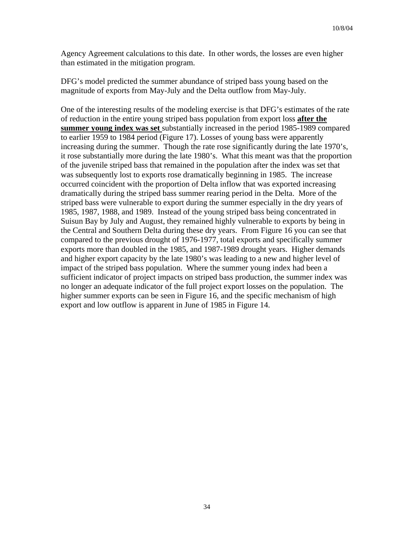Agency Agreement calculations to this date. In other words, the losses are even higher than estimated in the mitigation program.

DFG's model predicted the summer abundance of striped bass young based on the magnitude of exports from May-July and the Delta outflow from May-July.

One of the interesting results of the modeling exercise is that DFG's estimates of the rate of reduction in the entire young striped bass population from export loss **after the summer young index was set** substantially increased in the period 1985-1989 compared to earlier 1959 to 1984 period (Figure 17). Losses of young bass were apparently increasing during the summer. Though the rate rose significantly during the late 1970's, it rose substantially more during the late 1980's. What this meant was that the proportion of the juvenile striped bass that remained in the population after the index was set that was subsequently lost to exports rose dramatically beginning in 1985. The increase occurred coincident with the proportion of Delta inflow that was exported increasing dramatically during the striped bass summer rearing period in the Delta. More of the striped bass were vulnerable to export during the summer especially in the dry years of 1985, 1987, 1988, and 1989. Instead of the young striped bass being concentrated in Suisun Bay by July and August, they remained highly vulnerable to exports by being in the Central and Southern Delta during these dry years. From Figure 16 you can see that compared to the previous drought of 1976-1977, total exports and specifically summer exports more than doubled in the 1985, and 1987-1989 drought years. Higher demands and higher export capacity by the late 1980's was leading to a new and higher level of impact of the striped bass population. Where the summer young index had been a sufficient indicator of project impacts on striped bass production, the summer index was no longer an adequate indicator of the full project export losses on the population. The higher summer exports can be seen in Figure 16, and the specific mechanism of high export and low outflow is apparent in June of 1985 in Figure 14.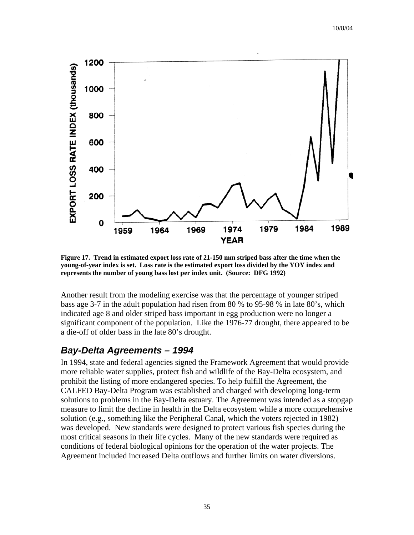

**Figure 17. Trend in estimated export loss rate of 21-150 mm striped bass after the time when the young-of-year index is set. Loss rate is the estimated export loss divided by the YOY index and represents the number of young bass lost per index unit. (Source: DFG 1992)** 

Another result from the modeling exercise was that the percentage of younger striped bass age 3-7 in the adult population had risen from 80 % to 95-98 % in late 80's, which indicated age 8 and older striped bass important in egg production were no longer a significant component of the population. Like the 1976-77 drought, there appeared to be a die-off of older bass in the late 80's drought.

#### *Bay-Delta Agreements – 1994*

In 1994, state and federal agencies signed the Framework Agreement that would provide more reliable water supplies, protect fish and wildlife of the Bay-Delta ecosystem, and prohibit the listing of more endangered species. To help fulfill the Agreement, the CALFED Bay-Delta Program was established and charged with developing long-term solutions to problems in the Bay-Delta estuary. The Agreement was intended as a stopgap measure to limit the decline in health in the Delta ecosystem while a more comprehensive solution (e.g., something like the Peripheral Canal, which the voters rejected in 1982) was developed. New standards were designed to protect various fish species during the most critical seasons in their life cycles. Many of the new standards were required as conditions of federal biological opinions for the operation of the water projects. The Agreement included increased Delta outflows and further limits on water diversions.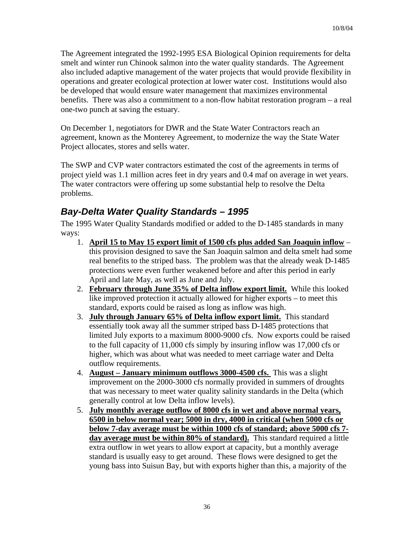The Agreement integrated the 1992-1995 ESA Biological Opinion requirements for delta smelt and winter run Chinook salmon into the water quality standards. The Agreement also included adaptive management of the water projects that would provide flexibility in operations and greater ecological protection at lower water cost. Institutions would also be developed that would ensure water management that maximizes environmental benefits. There was also a commitment to a non-flow habitat restoration program – a real one-two punch at saving the estuary.

On December 1, negotiators for DWR and the State Water Contractors reach an agreement, known as the Monterey Agreement, to modernize the way the State Water Project allocates, stores and sells water.

The SWP and CVP water contractors estimated the cost of the agreements in terms of project yield was 1.1 million acres feet in dry years and 0.4 maf on average in wet years. The water contractors were offering up some substantial help to resolve the Delta problems.

### *Bay-Delta Water Quality Standards – 1995*

The 1995 Water Quality Standards modified or added to the D-1485 standards in many ways:

- 1. **April 15 to May 15 export limit of 1500 cfs plus added San Joaquin inflow** this provision designed to save the San Joaquin salmon and delta smelt had some real benefits to the striped bass. The problem was that the already weak D-1485 protections were even further weakened before and after this period in early April and late May, as well as June and July.
- 2. **February through June 35% of Delta inflow export limit.** While this looked like improved protection it actually allowed for higher exports – to meet this standard, exports could be raised as long as inflow was high.
- 3. **July through January 65% of Delta inflow export limit.** This standard essentially took away all the summer striped bass D-1485 protections that limited July exports to a maximum 8000-9000 cfs. Now exports could be raised to the full capacity of 11,000 cfs simply by insuring inflow was 17,000 cfs or higher, which was about what was needed to meet carriage water and Delta outflow requirements.
- 4. **August January minimum outflows 3000-4500 cfs.** This was a slight improvement on the 2000-3000 cfs normally provided in summers of droughts that was necessary to meet water quality salinity standards in the Delta (which generally control at low Delta inflow levels).
- 5. **July monthly average outflow of 8000 cfs in wet and above normal years, 6500 in below normal year; 5000 in dry, 4000 in critical (when 5000 cfs or below 7-day average must be within 1000 cfs of standard; above 5000 cfs 7 day average must be within 80% of standard).** This standard required a little extra outflow in wet years to allow export at capacity, but a monthly average standard is usually easy to get around. These flows were designed to get the young bass into Suisun Bay, but with exports higher than this, a majority of the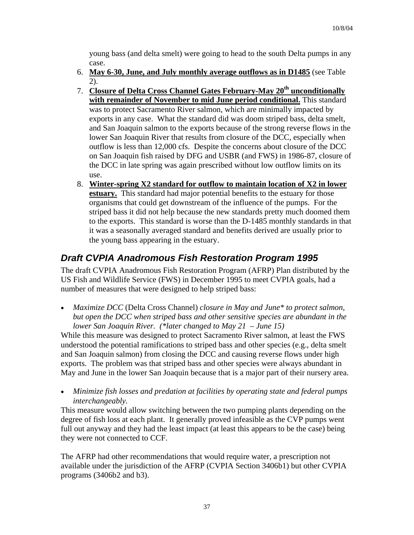young bass (and delta smelt) were going to head to the south Delta pumps in any case.

- 6. **May 6-30, June, and July monthly average outflows as in D1485** (see Table 2).
- 7. **Closure of Delta Cross Channel Gates February-May 20th unconditionally with remainder of November to mid June period conditional.** This standard was to protect Sacramento River salmon, which are minimally impacted by exports in any case. What the standard did was doom striped bass, delta smelt, and San Joaquin salmon to the exports because of the strong reverse flows in the lower San Joaquin River that results from closure of the DCC, especially when outflow is less than 12,000 cfs. Despite the concerns about closure of the DCC on San Joaquin fish raised by DFG and USBR (and FWS) in 1986-87, closure of the DCC in late spring was again prescribed without low outflow limits on its use.
- 8. **Winter-spring X2 standard for outflow to maintain location of X2 in lower estuary.** This standard had major potential benefits to the estuary for those organisms that could get downstream of the influence of the pumps. For the striped bass it did not help because the new standards pretty much doomed them to the exports. This standard is worse than the D-1485 monthly standards in that it was a seasonally averaged standard and benefits derived are usually prior to the young bass appearing in the estuary.

### *Draft CVPIA Anadromous Fish Restoration Program 1995*

The draft CVPIA Anadromous Fish Restoration Program (AFRP) Plan distributed by the US Fish and Wildlife Service (FWS) in December 1995 to meet CVPIA goals, had a number of measures that were designed to help striped bass:

• *Maximize DCC* (Delta Cross Channel) *closure in May and June\* to protect salmon, but open the DCC when striped bass and other sensitive species are abundant in the lower San Joaquin River. (\*later changed to May 21 – June 15)* 

While this measure was designed to protect Sacramento River salmon, at least the FWS understood the potential ramifications to striped bass and other species (e.g., delta smelt and San Joaquin salmon) from closing the DCC and causing reverse flows under high exports. The problem was that striped bass and other species were always abundant in May and June in the lower San Joaquin because that is a major part of their nursery area.

• *Minimize fish losses and predation at facilities by operating state and federal pumps interchangeably.*

This measure would allow switching between the two pumping plants depending on the degree of fish loss at each plant. It generally proved infeasible as the CVP pumps went full out anyway and they had the least impact (at least this appears to be the case) being they were not connected to CCF.

The AFRP had other recommendations that would require water, a prescription not available under the jurisdiction of the AFRP (CVPIA Section 3406b1) but other CVPIA programs (3406b2 and b3).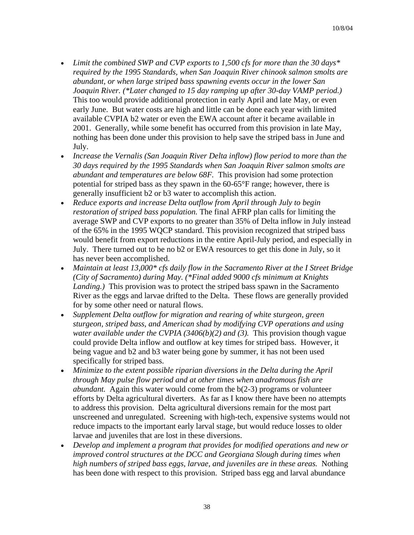- *Limit the combined SWP and CVP exports to 1,500 cfs for more than the 30 days\* required by the 1995 Standards, when San Joaquin River chinook salmon smolts are abundant, or when large striped bass spawning events occur in the lower San Joaquin River. (\*Later changed to 15 day ramping up after 30-day VAMP period.)* This too would provide additional protection in early April and late May, or even early June. But water costs are high and little can be done each year with limited available CVPIA b2 water or even the EWA account after it became available in 2001. Generally, while some benefit has occurred from this provision in late May, nothing has been done under this provision to help save the striped bass in June and July.
- *Increase the Vernalis (San Joaquin River Delta inflow) flow period to more than the 30 days required by the 1995 Standards when San Joaquin River salmon smolts are abundant and temperatures are below 68F.* This provision had some protection potential for striped bass as they spawn in the 60-65°F range; however, there is generally insufficient b2 or b3 water to accomplish this action.
- *Reduce exports and increase Delta outflow from April through July to begin restoration of striped bass population.* The final AFRP plan calls for limiting the average SWP and CVP exports to no greater than 35% of Delta inflow in July instead of the 65% in the 1995 WQCP standard. This provision recognized that striped bass would benefit from export reductions in the entire April-July period, and especially in July. There turned out to be no b2 or EWA resources to get this done in July, so it has never been accomplished.
- *Maintain at least 13,000\* cfs daily flow in the Sacramento River at the I Street Bridge (City of Sacramento) during May. (\*Final added 9000 cfs minimum at Knights Landing.)* This provision was to protect the striped bass spawn in the Sacramento River as the eggs and larvae drifted to the Delta. These flows are generally provided for by some other need or natural flows.
- *Supplement Delta outflow for migration and rearing of white sturgeon, green sturgeon, striped bass, and American shad by modifying CVP operations and using water available under the CVPIA (3406(b)(2) and (3).* This provision though vague could provide Delta inflow and outflow at key times for striped bass. However, it being vague and b2 and b3 water being gone by summer, it has not been used specifically for striped bass.
- *Minimize to the extent possible riparian diversions in the Delta during the April through May pulse flow period and at other times when anadromous fish are abundant.* Again this water would come from the b(2-3) programs or volunteer efforts by Delta agricultural diverters. As far as I know there have been no attempts to address this provision. Delta agricultural diversions remain for the most part unscreened and unregulated. Screening with high-tech, expensive systems would not reduce impacts to the important early larval stage, but would reduce losses to older larvae and juveniles that are lost in these diversions.
- *Develop and implement a program that provides for modified operations and new or improved control structures at the DCC and Georgiana Slough during times when high numbers of striped bass eggs, larvae, and juveniles are in these areas.* Nothing has been done with respect to this provision. Striped bass egg and larval abundance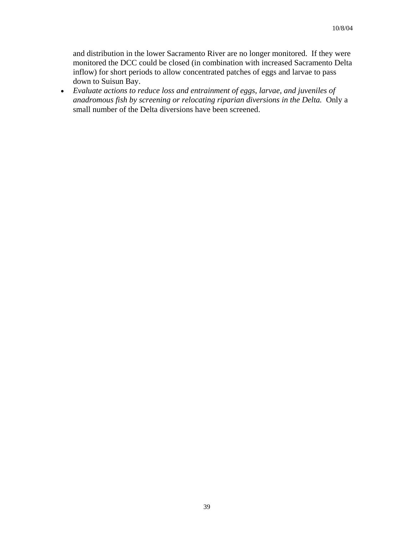and distribution in the lower Sacramento River are no longer monitored. If they were monitored the DCC could be closed (in combination with increased Sacramento Delta inflow) for short periods to allow concentrated patches of eggs and larvae to pass down to Suisun Bay.

• *Evaluate actions to reduce loss and entrainment of eggs, larvae, and juveniles of anadromous fish by screening or relocating riparian diversions in the Delta.* Only a small number of the Delta diversions have been screened.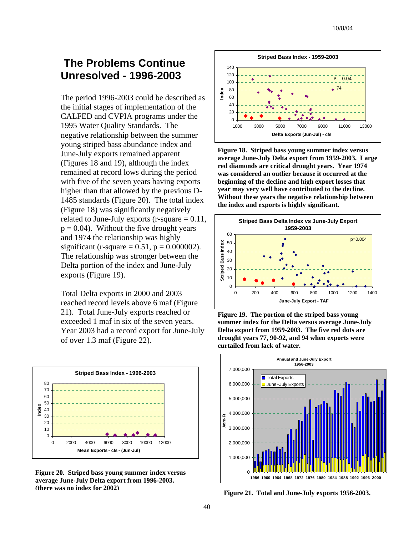### **The Problems Continue Unresolved - 1996-2003**

The period 1996-2003 could be described as the initial stages of implementation of the CALFED and CVPIA programs under the 1995 Water Quality Standards. The negative relationship between the summer young striped bass abundance index and June-July exports remained apparent (Figures 18 and 19), although the index remained at record lows during the period with five of the seven years having exports higher than that allowed by the previous D-1485 standards (Figure 20). The total index (Figure 18) was significantly negatively related to June-July exports  $(r$ -square  $= 0.11$ ,  $p = 0.04$ ). Without the five drought years and 1974 the relationship was highly significant (r-square =  $0.51$ , p =  $0.000002$ ). The relationship was stronger between the Delta portion of the index and June-July exports (Figure 19).

Total Delta exports in 2000 and 2003 reached record levels above 6 maf (Figure 21). Total June-July exports reached or exceeded 1 maf in six of the seven years. Year 2003 had a record export for June-July of over 1.3 maf (Figure 22).



**Figure 20. Striped bass young summer index versus average June-July Delta export from 1996-2003. (there was no index for 2002) Figure 21. Total and June-July exports 1956-2003.**



**Figure 18. Striped bass young summer index versus average June-July Delta export from 1959-2003. Large red diamonds are critical drought years. Year 1974 was considered an outlier because it occurred at the beginning of the decline and high export losses that year may very well have contributed to the decline. Without these years the negative relationship between the index and exports is highly significant.** 





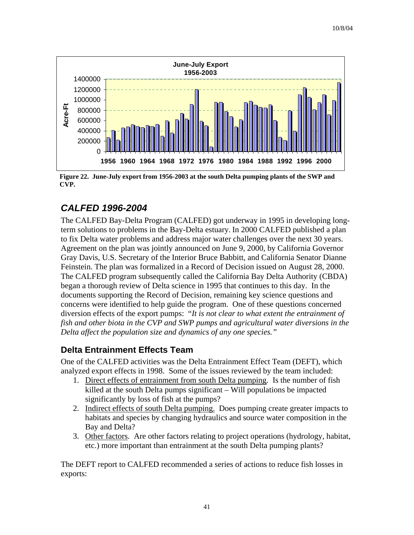

**Figure 22. June-July export from 1956-2003 at the south Delta pumping plants of the SWP and CVP.**

## *CALFED 1996-2004*

The CALFED Bay-Delta Program (CALFED) got underway in 1995 in developing longterm solutions to problems in the Bay-Delta estuary. In 2000 CALFED published a plan to fix Delta water problems and address major water challenges over the next 30 years. Agreement on the plan was jointly announced on June 9, 2000, by California Governor Gray Davis, U.S. Secretary of the Interior Bruce Babbitt, and California Senator Dianne Feinstein. The plan was formalized in a Record of Decision issued on August 28, 2000. The CALFED program subsequently called the California Bay Delta Authority (CBDA) began a thorough review of Delta science in 1995 that continues to this day. In the documents supporting the Record of Decision, remaining key science questions and concerns were identified to help guide the program. One of these questions concerned diversion effects of the export pumps: "*It is not clear to what extent the entrainment of fish and other biota in the CVP and SWP pumps and agricultural water diversions in the Delta affect the population size and dynamics of any one species."* 

#### **Delta Entrainment Effects Team**

One of the CALFED activities was the Delta Entrainment Effect Team (DEFT), which analyzed export effects in 1998. Some of the issues reviewed by the team included:

- 1. Direct effects of entrainment from south Delta pumping. Is the number of fish killed at the south Delta pumps significant – Will populations be impacted significantly by loss of fish at the pumps?
- 2. Indirect effects of south Delta pumping. Does pumping create greater impacts to habitats and species by changing hydraulics and source water composition in the Bay and Delta?
- 3. Other factors. Are other factors relating to project operations (hydrology, habitat, etc.) more important than entrainment at the south Delta pumping plants?

The DEFT report to CALFED recommended a series of actions to reduce fish losses in exports: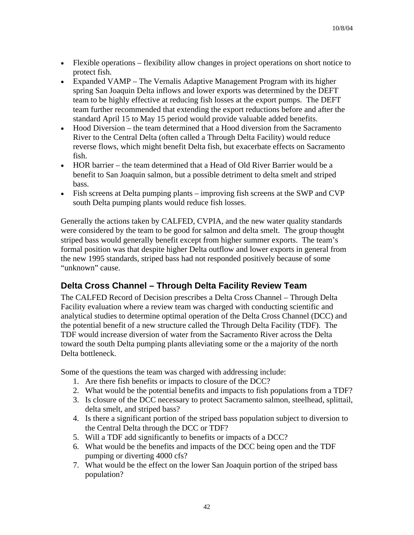- Flexible operations flexibility allow changes in project operations on short notice to protect fish.
- Expanded VAMP The Vernalis Adaptive Management Program with its higher spring San Joaquin Delta inflows and lower exports was determined by the DEFT team to be highly effective at reducing fish losses at the export pumps. The DEFT team further recommended that extending the export reductions before and after the standard April 15 to May 15 period would provide valuable added benefits.
- Hood Diversion the team determined that a Hood diversion from the Sacramento River to the Central Delta (often called a Through Delta Facility) would reduce reverse flows, which might benefit Delta fish, but exacerbate effects on Sacramento fish.
- HOR barrier the team determined that a Head of Old River Barrier would be a benefit to San Joaquin salmon, but a possible detriment to delta smelt and striped bass.
- Fish screens at Delta pumping plants improving fish screens at the SWP and CVP south Delta pumping plants would reduce fish losses.

Generally the actions taken by CALFED, CVPIA, and the new water quality standards were considered by the team to be good for salmon and delta smelt. The group thought striped bass would generally benefit except from higher summer exports. The team's formal position was that despite higher Delta outflow and lower exports in general from the new 1995 standards, striped bass had not responded positively because of some "unknown" cause.

#### **Delta Cross Channel – Through Delta Facility Review Team**

The CALFED Record of Decision prescribes a Delta Cross Channel – Through Delta Facility evaluation where a review team was charged with conducting scientific and analytical studies to determine optimal operation of the Delta Cross Channel (DCC) and the potential benefit of a new structure called the Through Delta Facility (TDF). The TDF would increase diversion of water from the Sacramento River across the Delta toward the south Delta pumping plants alleviating some or the a majority of the north Delta bottleneck.

Some of the questions the team was charged with addressing include:

- 1. Are there fish benefits or impacts to closure of the DCC?
- 2. What would be the potential benefits and impacts to fish populations from a TDF?
- 3. Is closure of the DCC necessary to protect Sacramento salmon, steelhead, splittail, delta smelt, and striped bass?
- 4. Is there a significant portion of the striped bass population subject to diversion to the Central Delta through the DCC or TDF?
- 5. Will a TDF add significantly to benefits or impacts of a DCC?
- 6. What would be the benefits and impacts of the DCC being open and the TDF pumping or diverting 4000 cfs?
- 7. What would be the effect on the lower San Joaquin portion of the striped bass population?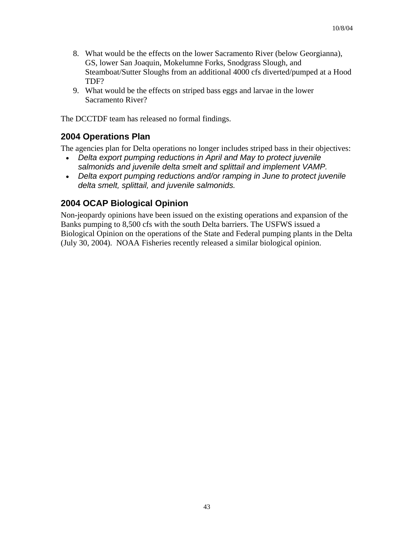- 8. What would be the effects on the lower Sacramento River (below Georgianna), GS, lower San Joaquin, Mokelumne Forks, Snodgrass Slough, and Steamboat/Sutter Sloughs from an additional 4000 cfs diverted/pumped at a Hood TDF?
- 9. What would be the effects on striped bass eggs and larvae in the lower Sacramento River?

The DCCTDF team has released no formal findings.

#### **2004 Operations Plan**

The agencies plan for Delta operations no longer includes striped bass in their objectives:

- *Delta export pumping reductions in April and May to protect juvenile salmonids and juvenile delta smelt and splittail and implement VAMP.*
- *Delta export pumping reductions and/or ramping in June to protect juvenile delta smelt, splittail, and juvenile salmonids.*

#### **2004 OCAP Biological Opinion**

Non-jeopardy opinions have been issued on the existing operations and expansion of the Banks pumping to 8,500 cfs with the south Delta barriers. The USFWS issued a Biological Opinion on the operations of the State and Federal pumping plants in the Delta (July 30, 2004). NOAA Fisheries recently released a similar biological opinion.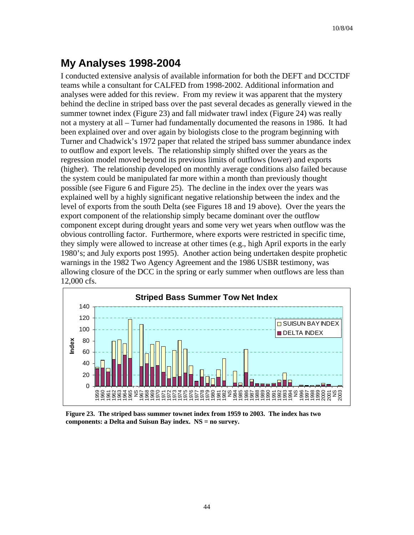# **My Analyses 1998-2004**

I conducted extensive analysis of available information for both the DEFT and DCCTDF teams while a consultant for CALFED from 1998-2002. Additional information and analyses were added for this review. From my review it was apparent that the mystery behind the decline in striped bass over the past several decades as generally viewed in the summer townet index (Figure 23) and fall midwater trawl index (Figure 24) was really not a mystery at all – Turner had fundamentally documented the reasons in 1986. It had been explained over and over again by biologists close to the program beginning with Turner and Chadwick's 1972 paper that related the striped bass summer abundance index to outflow and export levels. The relationship simply shifted over the years as the regression model moved beyond its previous limits of outflows (lower) and exports (higher). The relationship developed on monthly average conditions also failed because the system could be manipulated far more within a month than previously thought possible (see Figure 6 and Figure 25). The decline in the index over the years was explained well by a highly significant negative relationship between the index and the level of exports from the south Delta (see Figures 18 and 19 above). Over the years the export component of the relationship simply became dominant over the outflow component except during drought years and some very wet years when outflow was the obvious controlling factor. Furthermore, where exports were restricted in specific time, they simply were allowed to increase at other times (e.g., high April exports in the early 1980's; and July exports post 1995). Another action being undertaken despite prophetic warnings in the 1982 Two Agency Agreement and the 1986 USBR testimony, was allowing closure of the DCC in the spring or early summer when outflows are less than 12,000 cfs.



**Figure 23. The striped bass summer townet index from 1959 to 2003. The index has two components: a Delta and Suisun Bay index. NS = no survey.**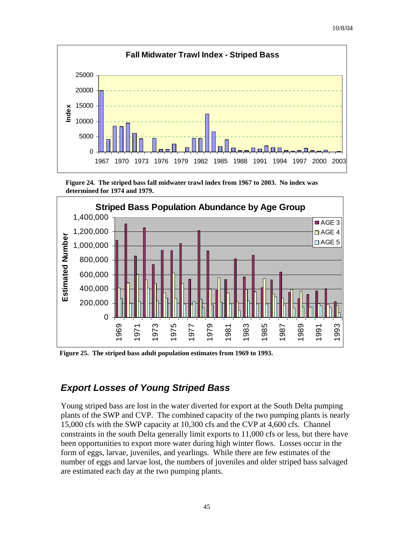

**Figure 24. The striped bass fall midwater trawl index from 1967 to 2003. No index was determined for 1974 and 1979.**



**Figure 25. The striped bass adult population estimates from 1969 to 1993.** 

#### *Export Losses of Young Striped Bass*

Young striped bass are lost in the water diverted for export at the South Delta pumping plants of the SWP and CVP. The combined capacity of the two pumping plants is nearly 15,000 cfs with the SWP capacity at 10,300 cfs and the CVP at 4,600 cfs. Channel constraints in the south Delta generally limit exports to 11,000 cfs or less, but there have been opportunities to export more water during high winter flows. Losses occur in the form of eggs, larvae, juveniles, and yearlings. While there are few estimates of the number of eggs and larvae lost, the numbers of juveniles and older striped bass salvaged are estimated each day at the two pumping plants.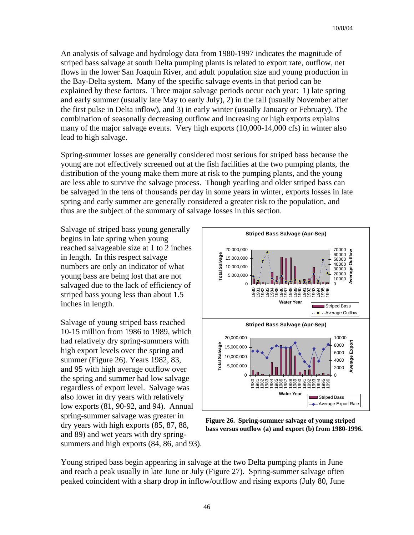An analysis of salvage and hydrology data from 1980-1997 indicates the magnitude of striped bass salvage at south Delta pumping plants is related to export rate, outflow, net flows in the lower San Joaquin River, and adult population size and young production in the Bay-Delta system. Many of the specific salvage events in that period can be explained by these factors. Three major salvage periods occur each year: 1) late spring and early summer (usually late May to early July), 2) in the fall (usually November after the first pulse in Delta inflow), and 3) in early winter (usually January or February). The combination of seasonally decreasing outflow and increasing or high exports explains many of the major salvage events. Very high exports (10,000-14,000 cfs) in winter also lead to high salvage.

Spring-summer losses are generally considered most serious for striped bass because the young are not effectively screened out at the fish facilities at the two pumping plants, the distribution of the young make them more at risk to the pumping plants, and the young are less able to survive the salvage process. Though yearling and older striped bass can be salvaged in the tens of thousands per day in some years in winter, exports losses in late spring and early summer are generally considered a greater risk to the population, and thus are the subject of the summary of salvage losses in this section.

Salvage of striped bass young generally begins in late spring when young reached salvageable size at 1 to 2 inches in length. In this respect salvage numbers are only an indicator of what young bass are being lost that are not salvaged due to the lack of efficiency of striped bass young less than about 1.5 inches in length.

Salvage of young striped bass reached 10-15 million from 1986 to 1989, which had relatively dry spring-summers with high export levels over the spring and summer (Figure 26). Years 1982, 83, and 95 with high average outflow over the spring and summer had low salvage regardless of export level. Salvage was also lower in dry years with relatively low exports (81, 90-92, and 94). Annual spring-summer salvage was greater in dry years with high exports (85, 87, 88, and 89) and wet years with dry springsummers and high exports (84, 86, and 93).



**Figure 26. Spring-summer salvage of young striped bass versus outflow (a) and export (b) from 1980-1996.**

Young striped bass begin appearing in salvage at the two Delta pumping plants in June and reach a peak usually in late June or July (Figure 27). Spring-summer salvage often peaked coincident with a sharp drop in inflow/outflow and rising exports (July 80, June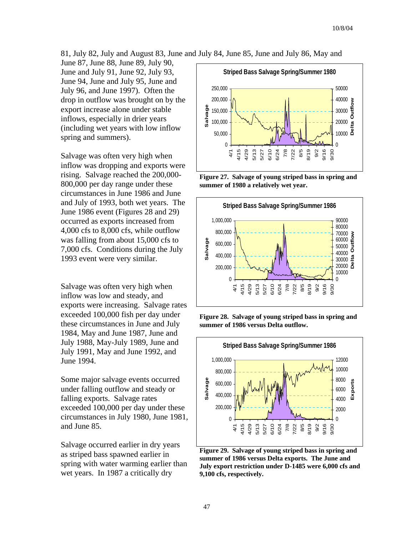81, July 82, July and August 83, June and July 84, June 85, June and July 86, May and

June 87, June 88, June 89, July 90, June and July 91, June 92, July 93, June 94, June and July 95, June and July 96, and June 1997). Often the drop in outflow was brought on by the export increase alone under stable inflows, especially in drier years (including wet years with low inflow spring and summers).

Salvage was often very high when inflow was dropping and exports were rising. Salvage reached the 200,000- 800,000 per day range under these circumstances in June 1986 and June and July of 1993, both wet years. The June 1986 event (Figures 28 and 29) occurred as exports increased from 4,000 cfs to 8,000 cfs, while outflow was falling from about 15,000 cfs to 7,000 cfs. Conditions during the July 1993 event were very similar.

Salvage was often very high when inflow was low and steady, and exports were increasing. Salvage rates exceeded 100,000 fish per day under these circumstances in June and July 1984, May and June 1987, June and July 1988, May-July 1989, June and July 1991, May and June 1992, and June 1994.

Some major salvage events occurred under falling outflow and steady or falling exports. Salvage rates exceeded 100,000 per day under these circumstances in July 1980, June 1 981, and June 85.

Salvage occurred earlier in dry years as striped bass spawned earlier in spring with water warming earlier than wet years. In 1987 a critically dry



**Figure 27. Salvage of young striped bass in spring and summer of 1980 a relatively wet year.** 



**Figure 28. Salvage of young striped bass in spring and summer of 1986 versus Delta outflow.** 



**Figure 29. Salvage of young striped bass in spring and summer of 1986 versus Delta exports. The June and July export restriction under D-1485 were 6,000 cfs and 9,100 cfs, respectively.**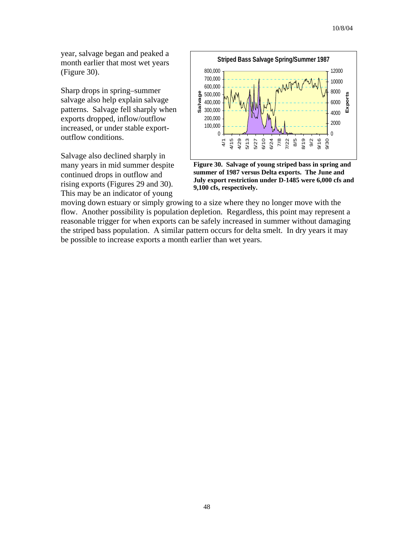year, salvage began and peaked a month earlier that most wet years (Figure 30).

Sharp drops in spring–summer salvage also help explain salvage patterns. Salvage fell sharply when exports dropped, inflow/outflow increased, or under stable exportoutflow conditions.

Salvage also declined sharply in many years in mid summer despite continued drops in outflow and rising exports (Figures 29 and 30). This may be an indicator of young



**Figure 30. Salvage of young striped bass in spring and summer of 1987 versus Delta exports. The June and July export restriction under D-1485 were 6,000 cfs and 9,100 cfs, respectively.** 

moving down estuary or simply growing to a size where they no longer move with the flow. Another possibility is population depletion. Regardless, this point may represent a reasonable trigger for when exports can be safely increased in summer without damaging the striped bass population. A similar pattern occurs for delta smelt. In dry years it may be possible to increase exports a month earlier than wet years.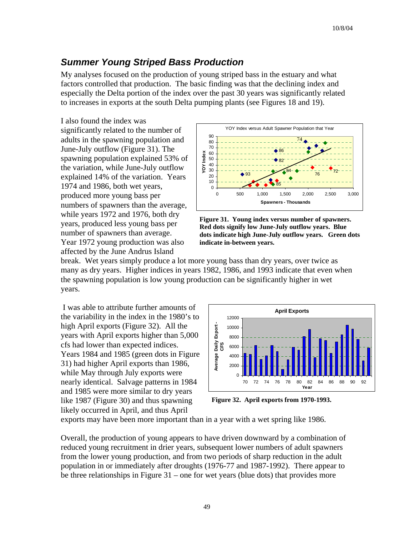### *Summer Young Striped Bass Production*

My analyses focused on the production of young striped bass in the estuary and what factors controlled that production. The basic finding was that the declining index and especially the Delta portion of the index over the past 30 years was significantly related to increases in exports at the south Delta pumping plants (see Figures 18 and 19).

I also found the index was significantly related to the number of adults in the spawning population and June-July outflow (Figure 31). The spawning population explained 53% of the variation, while June-July outflow explained 14% of the variation. Years 1974 and 1986, both wet years, produced more young bass per numbers of spawners than the average, while years 1972 and 1976, both dry years, produced less young bass per number of spawners than average. Year 1972 young production was also affected by the June Andrus Island





break. Wet years simply produce a lot more young bass than dry years, over twice as many as dry years. Higher indices in years 1982, 1986, and 1993 indicate that even when the spawning population is low young production can be significantly higher in wet years.

 I was able to attribute further amounts of the variability in the index in the 1980's to high April exports (Figure 32). All the years with April exports higher than 5,000 cfs had lower than expected indices. Years 1984 and 1985 (green dots in Figure 31) had higher April exports than 1986, while May through July exports were nearly identical. Salvage patterns in 1984 and 1985 were more similar to dry years like 1987 (Figure 30) and thus spawning likely occurred in April, and thus April



**Figure 32. April exports from 1970-1993.**

exports may have been more important than in a year with a wet spring like 1986.

Overall, the production of young appears to have driven downward by a combination of reduced young recruitment in drier years, subsequent lower numbers of adult spawners from the lower young production, and from two periods of sharp reduction in the adult population in or immediately after droughts (1976-77 and 1987-1992). There appear to be three relationships in Figure 31 – one for wet years (blue dots) that provides more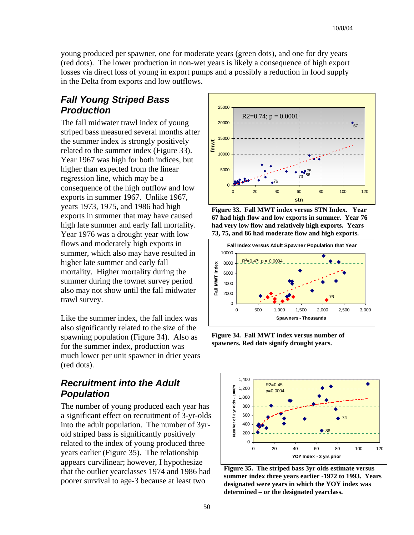young produced per spawner, one for moderate years (green dots), and one for dry years (red dots). The lower production in non-wet years is likely a consequence of high export losses via direct loss of young in export pumps and a possibly a reduction in food supply in the Delta from exports and low outflows.

#### *Fall Young Striped Bass Production*

The fall midwater trawl index of young striped bass measured several months after the summer index is strongly positively related to the summer index (Figure 33). Year 1967 was high for both indices, but higher than expected from the linear regression line, which may be a consequence of the high outflow and low exports in summer 1967. Unlike 1967, years 1973, 1975, and 1986 had high exports in summer that may have caused high late summer and early fall mortality. Year 1976 was a drought year with low flows and moderately high exports in summer, which also may have resulted in higher late summer and early fall mortality. Higher mortality during the summer during the townet survey period also may not show until the fall midwater trawl survey.

Like the summer index, the fall index was also significantly related to the size of the spawning population (Figure 34). Also as for the summer index, production was much lower per unit spawner in drier y ears (red dots).

#### *Recruitment into the Adult Population*

The number of young produced each year has a significant effect on recruitment of 3-yr-olds into the adult population. The number of 3yrold striped bass is significantly positively related to the index of young produced three years earlier (Figure 35). The relationship appears curvilinear; however, I hypothesize that the outlier yearclasses 1974 and 1986 had poorer survival to age-3 because at least two







**Figure 34. Fall MWT index versus number of spawners. Red dots signify drought years.**



**Figure 35. The striped bass 3yr olds estimate versus summer index three years earlier -1972 to 1993. Years designated were years in which the YOY index was determined – or the designated yearclass.**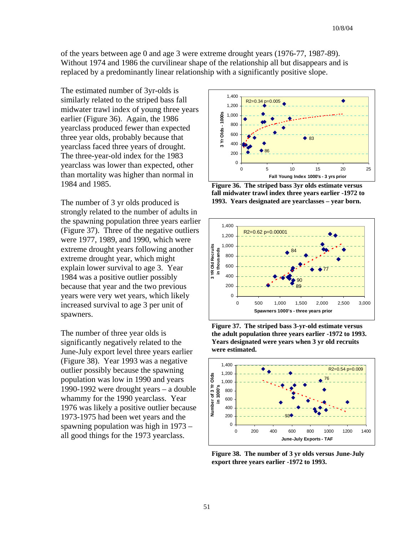of the years between age 0 and age 3 were extreme drought years (1976-77, 1987-89). Without 1974 and 1986 the curvilinear shape of the relationship all but disappears and is replaced by a predominantly linear relationship with a significantly positive slope.

The estimated number of 3yr-olds is similarly related to the striped bass fall midwater trawl index of young three years earlier (Figure 36). Again, the 1986 yearclass produced fewer than expected three year olds, probably because that yearclass faced three years of drought. The three-year-old index for the 1983 yearclass was lower than expected, other than mortality was higher than normal in 1984 and 1985.

strongly related to the number of adults in the spawning population three years e arlier (Figure 37). Three of the negative outliers were 1977, 1989, and 1990, which were extreme drought years following anothe r extreme drought year, which might explain lower survival to age 3. Year 1984 was a positive outlier possibly because that year and the two previous years were very wet years, which likely increased survival to age 3 per unit of spawners.

The number of three year olds is significantly negatively related to the June-July export level three years earlier (Figure 38). Year 1993 was a negative outlier possibly because the spawning population was low in 1990 and years 1990-1992 were drought years – a double whammy for the 1990 yearclass. Year 1976 was likely a positive outlier because 1973-1975 had been wet years and the spawning population was high in 1973 – all good things for the 1973 yearclass.



**Figure 36. The striped bass 3yr olds estimate versus fall midwater trawl index three years earlier -1972 to**  The number of 3 yr olds produced is **1993. Years designated are yearclasses – year born.**







**Figure 38. The number of 3 yr olds versus June-July export three years earlier -1972 to 1993.**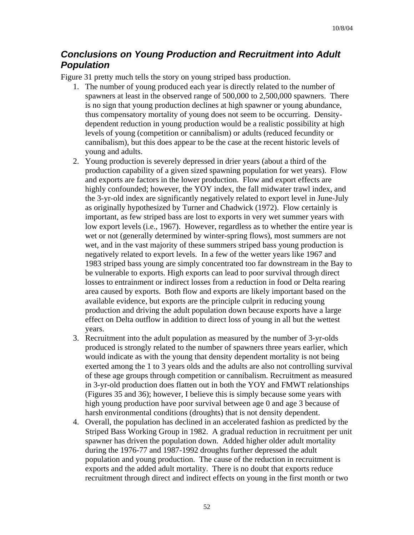#### *Conclusions on Young Production and Recruitment into Adult Population*

Figure 31 pretty much tells the story on young striped bass production.

- 1. The number of young produced each year is directly related to the number of spawners at least in the observed range of 500,000 to 2,500,000 spawners. There is no sign that young production declines at high spawner or young abundance, thus compensatory mortality of young does not seem to be occurring. Densitydependent reduction in young production would be a realistic possibility at high levels of young (competition or cannibalism) or adults (reduced fecundity or cannibalism), but this does appear to be the case at the recent historic levels of young and adults.
- 2. Young production is severely depressed in drier years (about a third of the production capability of a given sized spawning population for wet years). Flow and exports are factors in the lower production. Flow and export effects are highly confounded; however, the YOY index, the fall midwater trawl index, and the 3-yr-old index are significantly negatively related to export level in June-July as originally hypothesized by Turner and Chadwick (1972). Flow certainly is important, as few striped bass are lost to exports in very wet summer years with low export levels (i.e., 1967). However, regardless as to whether the entire year is wet or not (generally determined by winter-spring flows), most summers are not wet, and in the vast majority of these summers striped bass young production is negatively related to export levels. In a few of the wetter years like 1967 and 1983 striped bass young are simply concentrated too far downstream in the Bay to be vulnerable to exports. High exports can lead to poor survival through direct losses to entrainment or indirect losses from a reduction in food or Delta rearing area caused by exports. Both flow and exports are likely important based on the available evidence, but exports are the principle culprit in reducing young production and driving the adult population down because exports have a large effect on Delta outflow in addition to direct loss of young in all but the wettest years.
- 3. Recruitment into the adult population as measured by the number of 3-yr-olds produced is strongly related to the number of spawners three years earlier, which would indicate as with the young that density dependent mortality is not being exerted among the 1 to 3 years olds and the adults are also not controlling survival of these age groups through competition or cannibalism. Recruitment as measured in 3-yr-old production does flatten out in both the YOY and FMWT relationships (Figures 35 and 36); however, I believe this is simply because some years with high young production have poor survival between age 0 and age 3 because of harsh environmental conditions (droughts) that is not density dependent.
- 4. Overall, the population has declined in an accelerated fashion as predicted by the Striped Bass Working Group in 1982. A gradual reduction in recruitment per unit spawner has driven the population down. Added higher older adult mortality during the 1976-77 and 1987-1992 droughts further depressed the adult population and young production. The cause of the reduction in recruitment is exports and the added adult mortality. There is no doubt that exports reduce recruitment through direct and indirect effects on young in the first month or two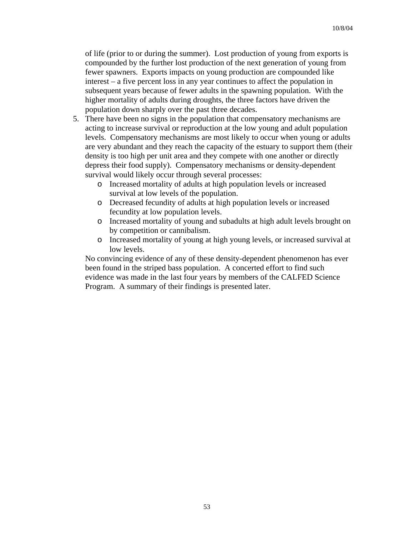of life (prior to or during the summer). Lost production of young from exports is compounded by the further lost production of the next generation of young from fewer spawners. Exports impacts on young production are compounded like interest – a five percent loss in any year continues to affect the population in subsequent years because of fewer adults in the spawning population. With the higher mortality of adults during droughts, the three factors have driven the population down sharply over the past three decades.

- 5. There have been no signs in the population that compensatory mechanisms are acting to increase survival or reproduction at the low young and adult population levels. Compensatory mechanisms are most likely to occur when young or adults are very abundant and they reach the capacity of the estuary to support them (their density is too high per unit area and they compete with one another or directly depress their food supply). Compensatory mechanisms or density-dependent survival would likely occur through several processes:
	- o Increased mortality of adults at high population levels or increased survival at low levels of the population.
	- o Decreased fecundity of adults at high population levels or increased fecundity at low population levels.
	- o Increased mortality of young and subadults at high adult levels brought on by competition or cannibalism.
	- o Increased mortality of young at high young levels, or increased survival at low levels.

No convincing evidence of any of these density-dependent phenomenon has ever been found in the striped bass population. A concerted effort to find such evidence was made in the last four years by members of the CALFED Science Program. A summary of their findings is presented later.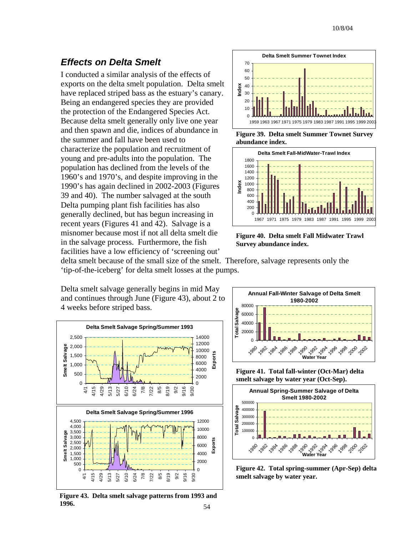#### *Effects on Delta Smelt*

I conducted a similar analysis of the effects of exports on the delta smelt population. Delta smelt have replaced striped bass as the estuary's canary. Being an endangered species they are provided the protection of the Endangered Species Act. Because delta smelt generally only live one year and then spawn and die, indices of abundance in the summer and fall have been used to characterize the population and recruitment of young and pre-adults into the population. The population has declined from the levels of the 1960's and 1970's, and despite improving in the 1990's has again declined in 2002-2003 (Figures 39 and 40). The number salvaged at the south Delta pumping plant fish facilities has also generally declined, but has begun increasing in recent years (Figures 41 and 42). Salvage is a misnomer because most if not all delta smelt die in the salvage process. Furthermore, the fish facilities have a low efficiency of 'screening out'



**Figure 39. Delta smelt Summer Townet Survey abundance index.** 



**Figure 40. Delta smelt Fall Midwater Trawl Survey abundance index.** 

delta smelt because of the small size of the smelt. Therefore, salvage represents only the 'tip-of-the-iceberg' for delta smelt losses at the pumps.

Delta smelt salvage generally begins in mid May and continues through June (Figure 43), about 2 t o 4 weeks before striped bass.



**Figure 43. Delta smelt salvage patterns from 1993 and 1996.** 54



**Figure 41. Total fall-winter (Oct-Mar) delta smelt salvage by water year (Oct-Sep).** 



**Figure 42. Total spring-summer (Apr-Sep) delta smelt salvage by water year.**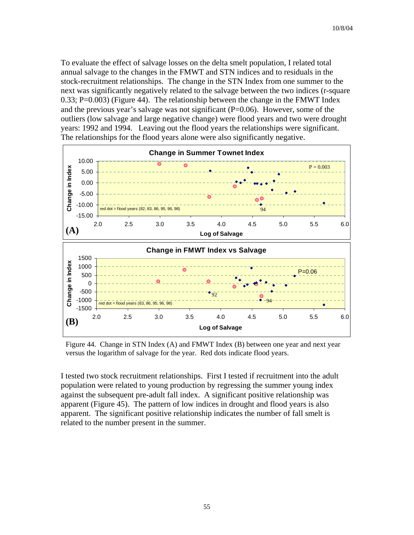To evaluate the effect of salvage losses on the delta smelt population, I related total annual salvage to the changes in the FMWT and STN indices and to residuals in the stock-recruitment relationships. The change in the STN Index from one summer to the next was significantly negatively related to the salvage between the two indices (r-square 0.33; P=0.003) (Figure 44). The relationship between the change in the FMWT Index and the previous year's salvage was not significant  $(P=0.06)$ . However, some of the outliers (low salvage and large negative change) were flood years and two were drought years: 1992 and 1994. Leaving out the flood years the relationships were significant. The relationships for the flood years alone were also significantly negative.



Figure 44. Change in STN Index (A) and FMWT Index (B) between one year and next year versus the logarithm of salvage for the year. Red dots indicate flood years.

I tested two stock recruitment relationships. First I tested if recruitment into the adult population were related to young production by regressing the summer young index against the subsequent pre-adult fall index. A significant positive relationship was apparent (Figure 45). The pattern of low indices in drought and flood years is also apparent. The significant positive relationship indicates the number of fall smelt is related to the number present in the summer.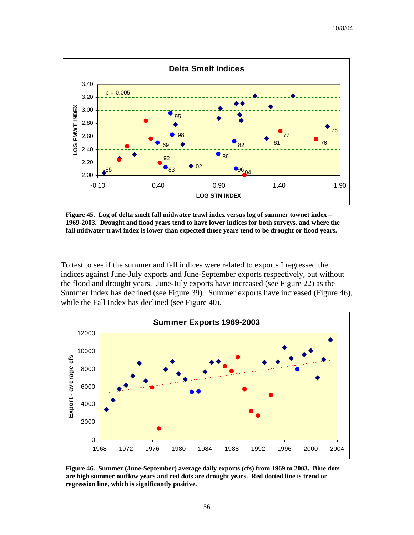

**Figure 45. Log of delta smelt fall midwater trawl index versus log of summer townet index – 1969-2003. Drought and flood years tend to have lower indices for both surveys, and where the fall midwater trawl index is lower than expected those years tend to be drought or flood years.** 

To test to see if the summer and fall indices were related to exports I regressed the indices against June-July exports and June-September exports respectively, but without the flood and drought years. June-July exports have increased (see Figure 22) as the Summer Index has declined (see Figure 39). Summer exports have increased (Figure 46), while the Fall Index has declined (see Figure 40).



**Figure 46. Summer (June-September) average daily exports (cfs) from 1969 to 2003. Blue dots are high summer outflow years and red dots are drought years. Red dotted line is trend or regression line, which is significantly positive.**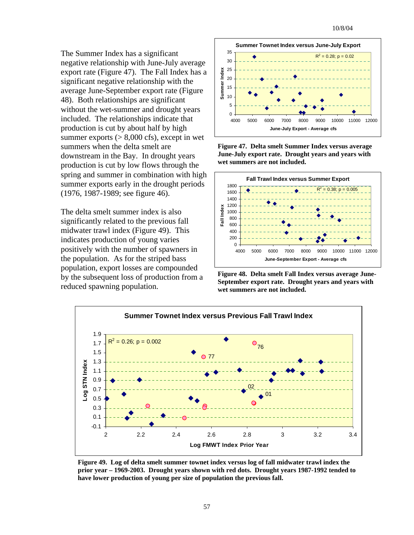The Summer Index has a significant negative relationship with June-July average export rate (Figure 47). The Fall Index has a significant negative relationship with the average June-September export rate (Figure 48). Both relationships are significant without the wet-summer and drought years included. The relationships indicate that production is cut by about half by high summer exports  $(> 8,000 \text{ cfs})$ , except in wet summers when the delta smelt are downstream in the Bay. In drought years production is cut by low flows through the spring and summer in combination with h igh summer exports early in the drought period s (1976, 1987-1989; see figure 46).

The delta smelt summer index is also significantly related to the previous fall midwater trawl index (Figure 49). This indicates production of young varies positively with the number of spawners in the population. As for the striped bass population, export losses are compounded by the subsequent loss of production from a reduced spawning population.



**Figure 47. Delta smelt Summer Index versus average June-July export rate. Drought years and years with wet summers are not included.** 



**Figure 48. Delta smelt Fall Index versus average June-September export rate. Drought years and years with wet summers are not included.** 



**Figure 49. Log of delta smelt summer townet index versus log of fall midwater trawl index the prior year – 1969-2003. Drought years shown with red dots. Drought years 1987-1992 tended to have lower production of young per size of population the previous fall.**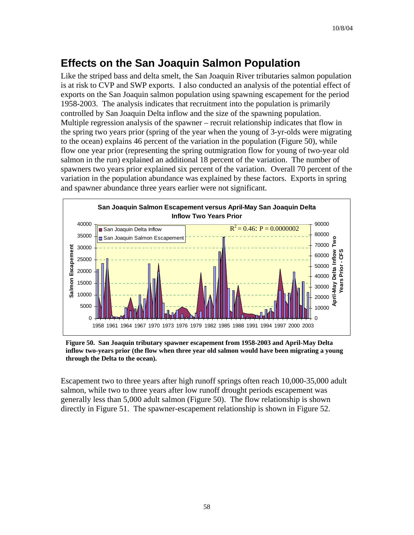## **Effects on the San Joaquin Salmon Population**

Like the striped bass and delta smelt, the San Joaquin River tributaries salmon population is at risk to CVP and SWP exports. I also conducted an analysis of the potential effect of exports on the San Joaquin salmon population using spawning escapement for the period 1958-2003. The analysis indicates that recruitment into the population is primarily controlled by San Joaquin Delta inflow and the size of the spawning population. Multiple regression analysis of the spawner – recruit relationship indicates that flow in the spring two years prior (spring of the year when the young of 3-yr-olds were migrating to the ocean) explains 46 percent of the variation in the population (Figure 50), while flow one year prior (representing the spring outmigration flow for young of two-year old salmon in the run) explained an additional 18 percent of the variation. The number of spawners two years prior explained six percent of the variation. Overall 70 percent of the variation in the population abundance was explained by these factors. Exports in spring and spawner abundance three years earlier were not significant.



**Figure 50. San Joaquin tributary spawner escapement from 1958-2003 and April-May Delta inflow two-years prior (the flow when three year old salmon would have been migrating a young through the Delta to the ocean).** 

Escapement two to three years after high runoff springs often reach 10,000-35,000 adult salmon, while two to three years after low runoff drought periods escapement was generally less than 5,000 adult salmon (Figure 50). The flow relationship is shown directly in Figure 51. The spawner-escapement relationship is shown in Figure 52.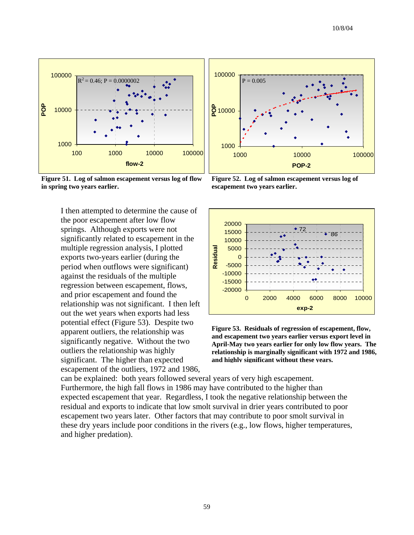

**Figure 51. Log of salmon escapement versus log of flow in spring two years earlier.** 

I then attempted to determine the cause of the poor escapement after low flow springs. Although exports were not significantly related to escapement in the multiple regression analysis, I plotted exports two-years earlier (during the period when outflows were significant) against the residuals of the multiple regression between escapement, flows, and prior escapement and found the relationship was not significant. I then left out the wet years when exports had less potential effect (Figure 53). Despite two apparent outliers, the relationship was significantly negative. Without the two outliers the relationship was highly significant. The higher than expected escapement of the outliers, 1972 and 1986,



**Figure 52. Log of salmon escapement versus log of escapement two years earlier.** 



**Figure 53. Residuals of regression of escapement, flow, and escapement two years earlier versus export level in April-May two years earlier for only low flow years. The relationship is marginally significant with 1972 and 1986, and highly significant without these years.** 

can be explained: both years followed several years of very high escapement. Furthermore, the high fall flows in 1986 may have contributed to the higher than expected escapement that year. Regardless, I took the negative relationship between the residual and exports to indicate that low smolt survival in drier years contributed to poor escapement two years later. Other factors that may contribute to poor smolt survival in these dry years include poor conditions in the rivers (e.g., low flows, higher temperatures, and higher predation).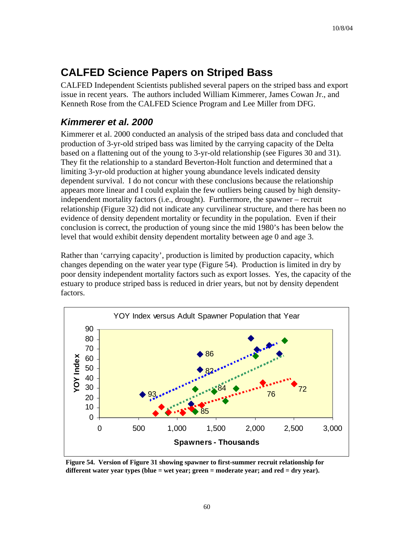## **CALFED Science Papers on Striped Bass**

CALFED Independent Scientists published several papers on the striped bass and export issue in recent years. The authors included William Kimmerer, James Cowan Jr., and Kenneth Rose from the CALFED Science Program and Lee Miller from DFG.

#### *Kimmerer et al. 2000*

Kimmerer et al. 2000 conducted an analysis of the striped bass data and concluded that production of 3-yr-old striped bass was limited by the carrying capacity of the Delta based on a flattening out of the young to 3-yr-old relationship (see Figures 30 and 31). They fit the relationship to a standard Beverton-Holt function and determined that a limiting 3-yr-old production at higher young abundance levels indicated density dependent survival. I do not concur with these conclusions because the relationship appears more linear and I could explain the few outliers being caused by high densityindependent mortality factors (i.e., drought). Furthermore, the spawner – recruit relationship (Figure 32) did not indicate any curvilinear structure, and there has been no evidence of density dependent mortality or fecundity in the population. Even if their conclusion is correct, the production of young since the mid 1980's has been below the level that would exhibit density dependent mortality between age 0 and age 3.

Rather than 'carrying capacity', production is limited by production capacity, which changes depending on the water year type (Figure 54). Production is limited in dry by poor density independent mortality factors such as export losses. Yes, the capacity of the estuary to produce striped bass is reduced in drier years, but not by density dependent factors.



**Figure 54. Version of Figure 31 showing spawner to first-summer recruit relationship for different water year types (blue = wet year; green = moderate year; and red = dry year).**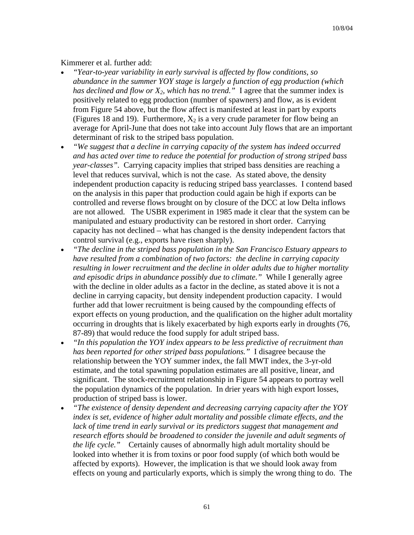#### Kimmerer et al. further add:

- *"Year-to-year variability in early survival is affected by flow conditions, so abundance in the summer YOY stage is largely a function of egg production (which has declined and flow or*  $X_2$ *, which has no trend.*" I agree that the summer index is positively related to egg production (number of spawners) and flow, as is evident from Figure 54 above, but the flow affect is manifested at least in part by exports (Figures 18 and 19). Furthermore,  $X_2$  is a very crude parameter for flow being an average for April-June that does not take into account July flows that are an important determinant of risk to the striped bass population.
- *"We suggest that a decline in carrying capacity of the system has indeed occurred and has acted over time to reduce the potential for production of strong striped bass year-classes".* Carrying capacity implies that striped bass densities are reaching a level that reduces survival, which is not the case. As stated above, the density independent production capacity is reducing striped bass yearclasses. I contend based on the analysis in this paper that production could again be high if exports can be controlled and reverse flows brought on by closure of the DCC at low Delta inflows are not allowed. The USBR experiment in 1985 made it clear that the system can be manipulated and estuary productivity can be restored in short order. Carrying capacity has not declined – what has changed is the density independent factors that control survival (e.g., exports have risen sharply).
- *"The decline in the striped bass population in the San Francisco Estuary appears to have resulted from a combination of two factors: the decline in carrying capacity resulting in lower recruitment and the decline in older adults due to higher mortality and episodic drips in abundance possibly due to climate."* While I generally agree with the decline in older adults as a factor in the decline, as stated above it is not a decline in carrying capacity, but density independent production capacity. I would further add that lower recruitment is being caused by the compounding effects of export effects on young production, and the qualification on the higher adult mortality occurring in droughts that is likely exacerbated by high exports early in droughts (76, 87-89) that would reduce the food supply for adult striped bass.
- *"In this population the YOY index appears to be less predictive of recruitment than has been reported for other striped bass populations."* I disagree because the relationship between the YOY summer index, the fall MWT index, the 3-yr-old estimate, and the total spawning population estimates are all positive, linear, and significant. The stock-recruitment relationship in Figure 54 appears to portray well the population dynamics of the population. In drier years with high export losses, production of striped bass is lower.
- *"The existence of density dependent and decreasing carrying capacity after the YOY index is set, evidence of higher adult mortality and possible climate effects, and the*  lack of time trend in early survival or its predictors suggest that management and *research efforts should be broadened to consider the juvenile and adult segments of the life cycle."* Certainly causes of abnormally high adult mortality should be looked into whether it is from toxins or poor food supply (of which both would be affected by exports). However, the implication is that we should look away from effects on young and particularly exports, which is simply the wrong thing to do. The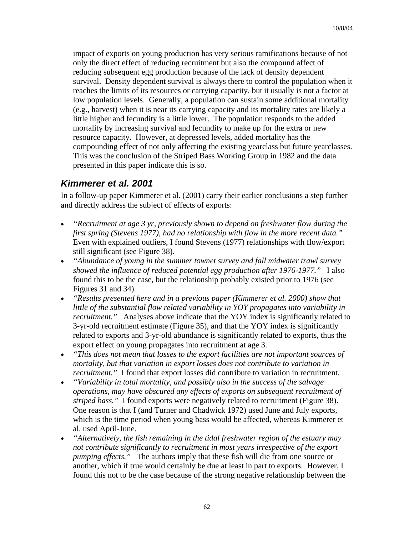impact of exports on young production has very serious ramifications because of not only the direct effect of reducing recruitment but also the compound affect of reducing subsequent egg production because of the lack of density dependent survival. Density dependent survival is always there to control the population when it reaches the limits of its resources or carrying capacity, but it usually is not a factor at low population levels. Generally, a population can sustain some additional mortality (e.g., harvest) when it is near its carrying capacity and its mortality rates are likely a little higher and fecundity is a little lower. The population responds to the added mortality by increasing survival and fecundity to make up for the extra or new resource capacity. However, at depressed levels, added mortality has the compounding effect of not only affecting the existing yearclass but future yearclasses. This was the conclusion of the Striped Bass Working Group in 1982 and the data presented in this paper indicate this is so.

#### *Kimmerer et al. 2001*

In a follow-up paper Kimmerer et al. (2001) carry their earlier conclusions a step further and directly address the subject of effects of exports:

- *"Recruitment at age 3 yr, previously shown to depend on freshwater flow during the first spring (Stevens 1977), had no relationship with flow in the more recent data."*  Even with explained outliers, I found Stevens (1977) relationships with flow/export still significant (see Figure 38).
- *"Abundance of young in the summer townet survey and fall midwater trawl survey showed the influence of reduced potential egg production after 1976-1977."* I also found this to be the case, but the relationship probably existed prior to 1976 (see Figures 31 and 34).
- *"Results presented here and in a previous paper (Kimmerer et al. 2000) show that little of the substantial flow related variability in YOY propagates into variability in recruitment.*" Analyses above indicate that the YOY index is significantly related to 3-yr-old recruitment estimate (Figure 35), and that the YOY index is significantly related to exports and 3-yr-old abundance is significantly related to exports, thus the export effect on young propagates into recruitment at age 3.
- *"This does not mean that losses to the export facilities are not important sources of mortality, but that variation in export losses does not contribute to variation in recruitment."* I found that export losses did contribute to variation in recruitment.
- *"Variability in total mortality, and possibly also in the success of the salvage operations, may have obscured any effects of exports on subsequent recruitment of striped bass."* I found exports were negatively related to recruitment (Figure 38). One reason is that I (and Turner and Chadwick 1972) used June and July exports, which is the time period when young bass would be affected, whereas Kimmerer et al. used April-June.
- *"Alternatively, the fish remaining in the tidal freshwater region of the estuary may not contribute significantly to recruitment in most years irrespective of the export pumping effects."* The authors imply that these fish will die from one source or another, which if true would certainly be due at least in part to exports. However, I found this not to be the case because of the strong negative relationship between the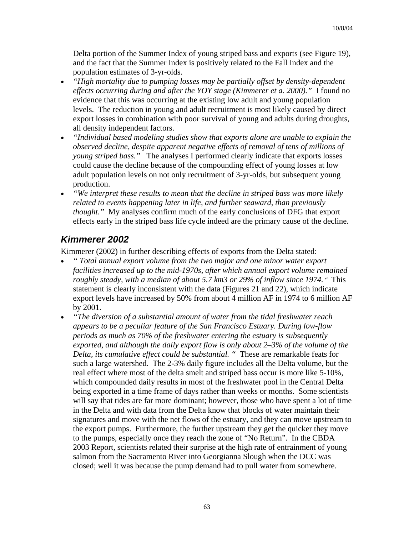Delta portion of the Summer Index of young striped bass and exports (see Figure 19), and the fact that the Summer Index is positively related to the Fall Index and the population estimates of 3-yr-olds.

- *"High mortality due to pumping losses may be partially offset by density-dependent effects occurring during and after the YOY stage (Kimmerer et a. 2000)."* I found no evidence that this was occurring at the existing low adult and young population levels. The reduction in young and adult recruitment is most likely caused by direct export losses in combination with poor survival of young and adults during droughts, all density independent factors.
- *"Individual based modeling studies show that exports alone are unable to explain the observed decline, despite apparent negative effects of removal of tens of millions of young striped bass."* The analyses I performed clearly indicate that exports losses could cause the decline because of the compounding effect of young losses at low adult population levels on not only recruitment of 3-yr-olds, but subsequent young production.
- *"We interpret these results to mean that the decline in striped bass was more likely related to events happening later in life, and further seaward, than previously thought."* My analyses confirm much of the early conclusions of DFG that export effects early in the striped bass life cycle indeed are the primary cause of the decline.

#### *Kimmerer 2002*

Kimmerer (2002) in further describing effects of exports from the Delta stated:

- *" Total annual export volume from the two major and one minor water export facilities increased up to the mid-1970s, after which annual export volume remained roughly steady, with a median of about 5.7 km3 or 29% of inflow since 1974.* " This statement is clearly inconsistent with the data (Figures 21 and 22), which indicate export levels have increased by 50% from about 4 million AF in 1974 to 6 million AF by 2001.
- *"The diversion of a substantial amount of water from the tidal freshwater reach appears to be a peculiar feature of the San Francisco Estuary. During low-flow periods as much as 70% of the freshwater entering the estuary is subsequently exported, and although the daily export flow is only about 2–3% of the volume of the Delta, its cumulative effect could be substantial. "* These are remarkable feats for such a large watershed. The 2-3% daily figure includes all the Delta volume, but the real effect where most of the delta smelt and striped bass occur is more like 5-10%, which compounded daily results in most of the freshwater pool in the Central Delta being exported in a time frame of days rather than weeks or months. Some scientists will say that tides are far more dominant; however, those who have spent a lot of time in the Delta and with data from the Delta know that blocks of water maintain their signatures and move with the net flows of the estuary, and they can move upstream to the export pumps. Furthermore, the further upstream they get the quicker they move to the pumps, especially once they reach the zone of "No Return". In the CBDA 2003 Report, scientists related their surprise at the high rate of entrainment of young salmon from the Sacramento River into Georgianna Slough when the DCC was closed; well it was because the pump demand had to pull water from somewhere.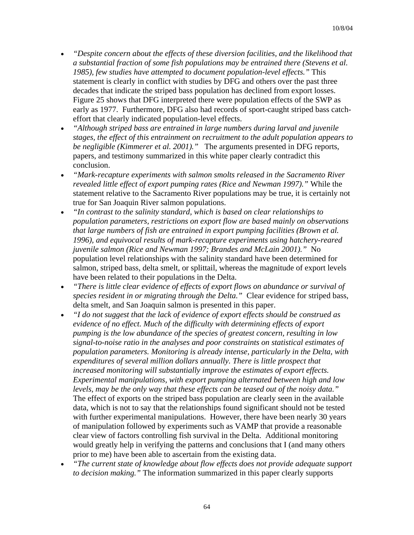- *"Despite concern about the effects of these diversion facilities, and the likelihood that a substantial fraction of some fish populations may be entrained there (Stevens et al. 1985), few studies have attempted to document population-level effects."* This statement is clearly in conflict with studies by DFG and others over the past three decades that indicate the striped bass population has declined from export losses. Figure 25 shows that DFG interpreted there were population effects of the SWP as early as 1977. Furthermore, DFG also had records of sport-caught striped bass catcheffort that clearly indicated population-level effects.
- *"Although striped bass are entrained in large numbers during larval and juvenile stages, the effect of this entrainment on recruitment to the adult population appears to be negligible (Kimmerer et al. 2001)."* The arguments presented in DFG reports, papers, and testimony summarized in this white paper clearly contradict this conclusion.
- *"Mark-recapture experiments with salmon smolts released in the Sacramento River revealed little effect of export pumping rates (Rice and Newman 1997)."* While the statement relative to the Sacramento River populations may be true, it is certainly not true for San Joaquin River salmon populations.
- *"In contrast to the salinity standard, which is based on clear relationships to population parameters, restrictions on export flow are based mainly on observations that large numbers of fish are entrained in export pumping facilities (Brown et al. 1996), and equivocal results of mark-recapture experiments using hatchery-reared juvenile salmon (Rice and Newman 1997; Brandes and McLain 2001)."* No population level relationships with the salinity standard have been determined for salmon, striped bass, delta smelt, or splittail, whereas the magnitude of export levels have been related to their populations in the Delta.
- *"There is little clear evidence of effects of export flows on abundance or survival of species resident in or migrating through the Delta."* Clear evidence for striped bass, delta smelt, and San Joaquin salmon is presented in this paper.
- *"I do not suggest that the lack of evidence of export effects should be construed as evidence of no effect. Much of the difficulty with determining effects of export pumping is the low abundance of the species of greatest concern, resulting in low signal-to-noise ratio in the analyses and poor constraints on statistical estimates of population parameters. Monitoring is already intense, particularly in the Delta, with expenditures of several million dollars annually. There is little prospect that increased monitoring will substantially improve the estimates of export effects. Experimental manipulations, with export pumping alternated between high and low levels, may be the only way that these effects can be teased out of the noisy data."*  The effect of exports on the striped bass population are clearly seen in the available data, which is not to say that the relationships found significant should not be tested with further experimental manipulations. However, there have been nearly 30 years of manipulation followed by experiments such as VAMP that provide a reasonable clear view of factors controlling fish survival in the Delta. Additional monitoring would greatly help in verifying the patterns and conclusions that I (and many others prior to me) have been able to ascertain from the existing data.
- *"The current state of knowledge about flow effects does not provide adequate support to decision making."* The information summarized in this paper clearly supports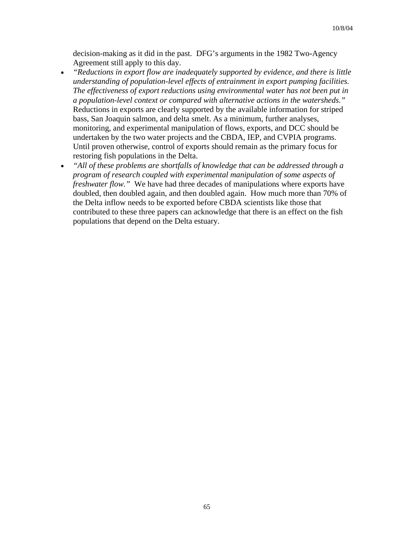decision-making as it did in the past. DFG's arguments in the 1982 Two-Agency Agreement still apply to this day.

- *"Reductions in export flow are inadequately supported by evidence, and there is little understanding of population-level effects of entrainment in export pumping facilities. The effectiveness of export reductions using environmental water has not been put in a population-level context or compared with alternative actions in the watersheds."*  Reductions in exports are clearly supported by the available information for striped bass, San Joaquin salmon, and delta smelt. As a minimum, further analyses, monitoring, and experimental manipulation of flows, exports, and DCC should be undertaken by the two water projects and the CBDA, IEP, and CVPIA programs. Until proven otherwise, control of exports should remain as the primary focus for restoring fish populations in the Delta.
- *"All of these problems are shortfalls of knowledge that can be addressed through a program of research coupled with experimental manipulation of some aspects of freshwater flow."* We have had three decades of manipulations where exports have doubled, then doubled again, and then doubled again. How much more than 70% of the Delta inflow needs to be exported before CBDA scientists like those that contributed to these three papers can acknowledge that there is an effect on the fish populations that depend on the Delta estuary.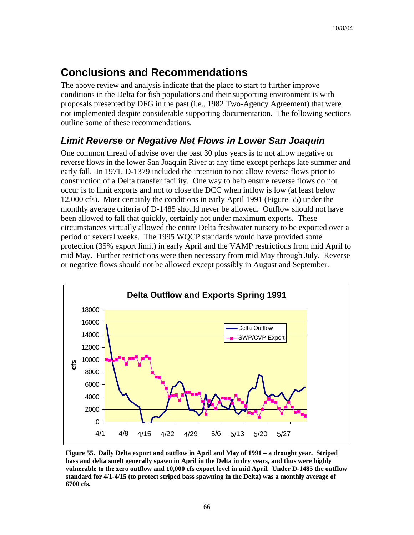## **Conclusions and Recommendations**

The above review and analysis indicate that the place to start to further improve conditions in the Delta for fish populations and their supporting environment is with proposals presented by DFG in the past (i.e., 1982 Two-Agency Agreement) that were not implemented despite considerable supporting documentation. The following sections outline some of these recommendations.

## *Limit Reverse or Negative Net Flows in Lower San Joaquin*

One common thread of advise over the past 30 plus years is to not allow negative or reverse flows in the lower San Joaquin River at any time except perhaps late summer and early fall. In 1971, D-1379 included the intention to not allow reverse flows prior to construction of a Delta transfer facility. One way to help ensure reverse flows do not occur is to limit exports and not to close the DCC when inflow is low (at least below 12,000 cfs). Most certainly the conditions in early April 1991 (Figure 55) under the monthly average criteria of D-1485 should never be allowed. Outflow should not have been allowed to fall that quickly, certainly not under maximum exports. These circumstances virtually allowed the entire Delta freshwater nursery to be exported over a period of several weeks. The 1995 WQCP standards would have provided some protection (35% export limit) in early April and the VAMP restrictions from mid April to mid May. Further restrictions were then necessary from mid May through July. Reverse or negative flows should not be allowed except possibly in August and September.



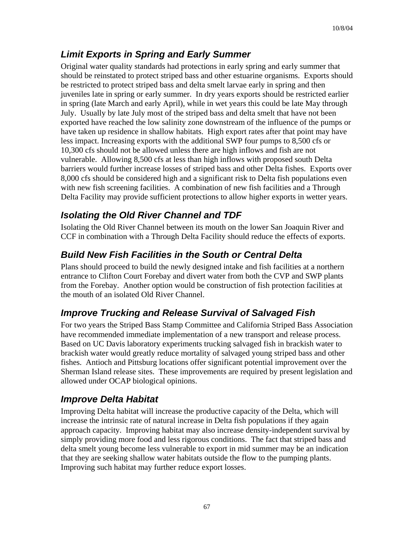### *Limit Exports in Spring and Early Summer*

Original water quality standards had protections in early spring and early summer that should be reinstated to protect striped bass and other estuarine organisms. Exports should be restricted to protect striped bass and delta smelt larvae early in spring and then juveniles late in spring or early summer. In dry years exports should be restricted earlier in spring (late March and early April), while in wet years this could be late May through July. Usually by late July most of the striped bass and delta smelt that have not been exported have reached the low salinity zone downstream of the influence of the pumps or have taken up residence in shallow habitats. High export rates after that point may have less impact. Increasing exports with the additional SWP four pumps to 8,500 cfs or 10,300 cfs should not be allowed unless there are high inflows and fish are not vulnerable. Allowing 8,500 cfs at less than high inflows with proposed south Delta barriers would further increase losses of striped bass and other Delta fishes. Exports over 8,000 cfs should be considered high and a significant risk to Delta fish populations even with new fish screening facilities. A combination of new fish facilities and a Through Delta Facility may provide sufficient protections to allow higher exports in wetter years.

### *Isolating the Old River Channel and TDF*

Isolating the Old River Channel between its mouth on the lower San Joaquin River and CCF in combination with a Through Delta Facility should reduce the effects of exports.

### *Build New Fish Facilities in the South or Central Delta*

Plans should proceed to build the newly designed intake and fish facilities at a northern entrance to Clifton Court Forebay and divert water from both the CVP and SWP plants from the Forebay. Another option would be construction of fish protection facilities at the mouth of an isolated Old River Channel.

## *Improve Trucking and Release Survival of Salvaged Fish*

For two years the Striped Bass Stamp Committee and California Striped Bass Association have recommended immediate implementation of a new transport and release process. Based on UC Davis laboratory experiments trucking salvaged fish in brackish water to brackish water would greatly reduce mortality of salvaged young striped bass and other fishes. Antioch and Pittsburg locations offer significant potential improvement over the Sherman Island release sites. These improvements are required by present legislation and allowed under OCAP biological opinions.

## *Improve Delta Habitat*

Improving Delta habitat will increase the productive capacity of the Delta, which will increase the intrinsic rate of natural increase in Delta fish populations if they again approach capacity. Improving habitat may also increase density-independent survival by simply providing more food and less rigorous conditions. The fact that striped bass and delta smelt young become less vulnerable to export in mid summer may be an indication that they are seeking shallow water habitats outside the flow to the pumping plants. Improving such habitat may further reduce export losses.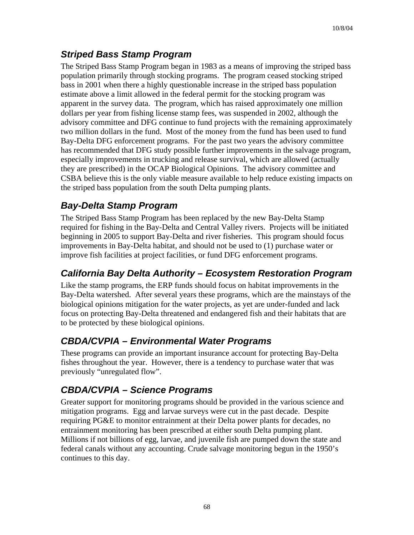### *Striped Bass Stamp Program*

The Striped Bass Stamp Program began in 1983 as a means of improving the striped bass population primarily through stocking programs. The program ceased stocking striped bass in 2001 when there a highly questionable increase in the striped bass population estimate above a limit allowed in the federal permit for the stocking program was apparent in the survey data. The program, which has raised approximately one million dollars per year from fishing license stamp fees, was suspended in 2002, although the advisory committee and DFG continue to fund projects with the remaining approximately two million dollars in the fund. Most of the money from the fund has been used to fund Bay-Delta DFG enforcement programs. For the past two years the advisory committee has recommended that DFG study possible further improvements in the salvage program, especially improvements in trucking and release survival, which are allowed (actually they are prescribed) in the OCAP Biological Opinions. The advisory committee and CSBA believe this is the only viable measure available to help reduce existing impacts on the striped bass population from the south Delta pumping plants.

### *Bay-Delta Stamp Program*

The Striped Bass Stamp Program has been replaced by the new Bay-Delta Stamp required for fishing in the Bay-Delta and Central Valley rivers. Projects will be initiated beginning in 2005 to support Bay-Delta and river fisheries. This program should focus improvements in Bay-Delta habitat, and should not be used to (1) purchase water or improve fish facilities at project facilities, or fund DFG enforcement programs.

### *California Bay Delta Authority – Ecosystem Restoration Program*

Like the stamp programs, the ERP funds should focus on habitat improvements in the Bay-Delta watershed. After several years these programs, which are the mainstays of the biological opinions mitigation for the water projects, as yet are under-funded and lack focus on protecting Bay-Delta threatened and endangered fish and their habitats that are to be protected by these biological opinions.

### *CBDA/CVPIA – Environmental Water Programs*

These programs can provide an important insurance account for protecting Bay-Delta fishes throughout the year. However, there is a tendency to purchase water that was previously "unregulated flow".

### *CBDA/CVPIA – Science Programs*

Greater support for monitoring programs should be provided in the various science and mitigation programs. Egg and larvae surveys were cut in the past decade. Despite requiring PG&E to monitor entrainment at their Delta power plants for decades, no entrainment monitoring has been prescribed at either south Delta pumping plant. Millions if not billions of egg, larvae, and juvenile fish are pumped down the state and federal canals without any accounting. Crude salvage monitoring begun in the 1950's continues to this day.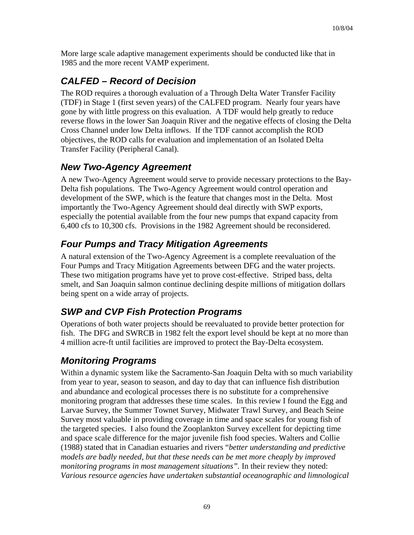More large scale adaptive management experiments should be conducted like that in 1985 and the more recent VAMP experiment.

## *CALFED – Record of Decision*

The ROD requires a thorough evaluation of a Through Delta Water Transfer Facility (TDF) in Stage 1 (first seven years) of the CALFED program. Nearly four years have gone by with little progress on this evaluation. A TDF would help greatly to reduce reverse flows in the lower San Joaquin River and the negative effects of closing the Delta Cross Channel under low Delta inflows. If the TDF cannot accomplish the ROD objectives, the ROD calls for evaluation and implementation of an Isolated Delta Transfer Facility (Peripheral Canal).

### *New Two-Agency Agreement*

A new Two-Agency Agreement would serve to provide necessary protections to the Bay-Delta fish populations. The Two-Agency Agreement would control operation and development of the SWP, which is the feature that changes most in the Delta. Most importantly the Two-Agency Agreement should deal directly with SWP exports, especially the potential available from the four new pumps that expand capacity from 6,400 cfs to 10,300 cfs. Provisions in the 1982 Agreement should be reconsidered.

### *Four Pumps and Tracy Mitigation Agreements*

A natural extension of the Two-Agency Agreement is a complete reevaluation of the Four Pumps and Tracy Mitigation Agreements between DFG and the water projects. These two mitigation programs have yet to prove cost-effective. Striped bass, delta smelt, and San Joaquin salmon continue declining despite millions of mitigation dollars being spent on a wide array of projects.

### *SWP and CVP Fish Protection Programs*

Operations of both water projects should be reevaluated to provide better protection for fish. The DFG and SWRCB in 1982 felt the export level should be kept at no more than 4 million acre-ft until facilities are improved to protect the Bay-Delta ecosystem.

### *Monitoring Programs*

Within a dynamic system like the Sacramento-San Joaquin Delta with so much variability from year to year, season to season, and day to day that can influence fish distribution and abundance and ecological processes there is no substitute for a comprehensive monitoring program that addresses these time scales. In this review I found the Egg and Larvae Survey, the Summer Townet Survey, Midwater Trawl Survey, and Beach Seine Survey most valuable in providing coverage in time and space scales for young fish of the targeted species. I also found the Zooplankton Survey excellent for depicting time and space scale difference for the major juvenile fish food species. Walters and Collie (1988) stated that in Canadian estuaries and rivers "*better understanding and predictive models are badly needed, but that these needs can be met more cheaply by improved monitoring programs in most management situations".* In their review they noted: *Various resource agencies have undertaken substantial oceanographic and limnological*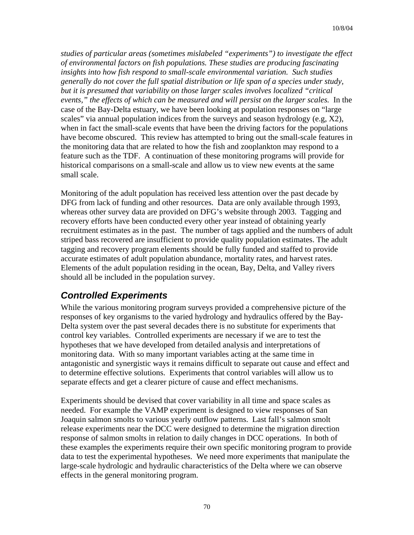*studies of particular areas (sometimes mislabeled "experiments") to investigate the effect of environmental factors on fish populations. These studies are producing fascinating insights into how fish respond to small-scale environmental variation. Such studies generally do not cover the full spatial distribution or life span of a species under study, but it is presumed that variability on those larger scales involves localized "critical events," the effects of which can be measured and will persist on the larger scales.* In the case of the Bay-Delta estuary, we have been looking at population responses on "large scales" via annual population indices from the surveys and season hydrology (e.g, X2), when in fact the small-scale events that have been the driving factors for the populations have become obscured. This review has attempted to bring out the small-scale features in the monitoring data that are related to how the fish and zooplankton may respond to a feature such as the TDF. A continuation of these monitoring programs will provide for historical comparisons on a small-scale and allow us to view new events at the same small scale.

Monitoring of the adult population has received less attention over the past decade by DFG from lack of funding and other resources. Data are only available through 1993, whereas other survey data are provided on DFG's website through 2003. Tagging and recovery efforts have been conducted every other year instead of obtaining yearly recruitment estimates as in the past. The number of tags applied and the numbers of adult striped bass recovered are insufficient to provide quality population estimates. The adult tagging and recovery program elements should be fully funded and staffed to provide accurate estimates of adult population abundance, mortality rates, and harvest rates. Elements of the adult population residing in the ocean, Bay, Delta, and Valley rivers should all be included in the population survey.

### *Controlled Experiments*

While the various monitoring program surveys provided a comprehensive picture of the responses of key organisms to the varied hydrology and hydraulics offered by the Bay-Delta system over the past several decades there is no substitute for experiments that control key variables. Controlled experiments are necessary if we are to test the hypotheses that we have developed from detailed analysis and interpretations of monitoring data. With so many important variables acting at the same time in antagonistic and synergistic ways it remains difficult to separate out cause and effect and to determine effective solutions. Experiments that control variables will allow us to separate effects and get a clearer picture of cause and effect mechanisms.

Experiments should be devised that cover variability in all time and space scales as needed. For example the VAMP experiment is designed to view responses of San Joaquin salmon smolts to various yearly outflow patterns. Last fall's salmon smolt release experiments near the DCC were designed to determine the migration direction response of salmon smolts in relation to daily changes in DCC operations. In both of these examples the experiments require their own specific monitoring program to provide data to test the experimental hypotheses. We need more experiments that manipulate the large-scale hydrologic and hydraulic characteristics of the Delta where we can observe effects in the general monitoring program.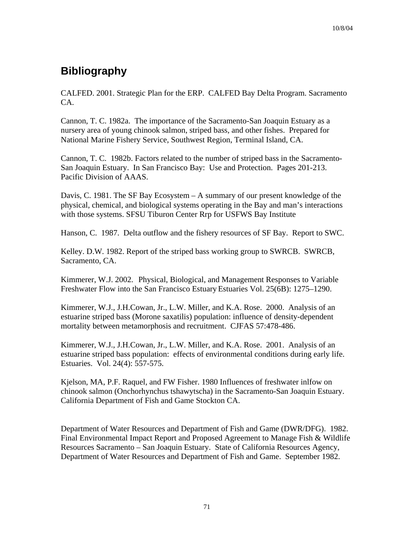## **Bibliography**

CALFED. 2001. Strategic Plan for the ERP. CALFED Bay Delta Program. Sacramento CA.

Cannon, T. C. 1982a. The importance of the Sacramento-San Joaquin Estuary as a nursery area of young chinook salmon, striped bass, and other fishes. Prepared for National Marine Fishery Service, Southwest Region, Terminal Island, CA.

Cannon, T. C. 1982b. Factors related to the number of striped bass in the Sacramento-San Joaquin Estuary. In San Francisco Bay: Use and Protection. Pages 201-213. Pacific Division of AAAS.

Davis, C. 1981. The SF Bay Ecosystem – A summary of our present knowledge of the physical, chemical, and biological systems operating in the Bay and man's interactions with those systems. SFSU Tiburon Center Rrp for USFWS Bay Institute

Hanson, C. 1987. Delta outflow and the fishery resources of SF Bay. Report to SWC.

Kelley. D.W. 1982. Report of the striped bass working group to SWRCB. SWRCB, Sacramento, CA.

Kimmerer, W.J. 2002. Physical, Biological, and Management Responses to Variable Freshwater Flow into the San Francisco Estuary Estuaries Vol. 25(6B): 1275–1290.

Kimmerer, W.J., J.H.Cowan, Jr., L.W. Miller, and K.A. Rose. 2000. Analysis of an estuarine striped bass (Morone saxatilis) population: influence of density-dependent mortality between metamorphosis and recruitment. CJFAS 57:478-486.

Kimmerer, W.J., J.H.Cowan, Jr., L.W. Miller, and K.A. Rose. 2001. Analysis of an estuarine striped bass population: effects of environmental conditions during early life. Estuaries. Vol. 24(4): 557-575.

Kjelson, MA, P.F. Raquel, and FW Fisher. 1980 Influences of freshwater inlfow on chinook salmon (Onchorhynchus tshawytscha) in the Sacramento-San Joaquin Estuary. California Department of Fish and Game Stockton CA.

Department of Water Resources and Department of Fish and Game (DWR/DFG). 1982. Final Environmental Impact Report and Proposed Agreement to Manage Fish & Wildlife Resources Sacramento – San Joaquin Estuary. State of California Resources Agency, Department of Water Resources and Department of Fish and Game. September 1982.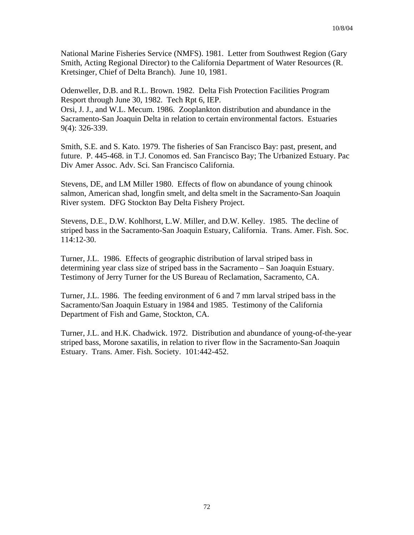National Marine Fisheries Service (NMFS). 1981. Letter from Southwest Region (Gary Smith, Acting Regional Director) to the California Department of Water Resources (R. Kretsinger, Chief of Delta Branch). June 10, 1981.

Odenweller, D.B. and R.L. Brown. 1982. Delta Fish Protection Facilities Program Resport through June 30, 1982. Tech Rpt 6, IEP.

Orsi, J. J., and W.L. Mecum. 1986. Zooplankton distribution and abundance in the Sacramento-San Joaquin Delta in relation to certain environmental factors. Estuaries 9(4): 326-339.

Smith, S.E. and S. Kato. 1979. The fisheries of San Francisco Bay: past, present, and future. P. 445-468. in T.J. Conomos ed. San Francisco Bay; The Urbanized Estuary. Pac Div Amer Assoc. Adv. Sci. San Francisco California.

Stevens, DE, and LM Miller 1980. Effects of flow on abundance of young chinook salmon, American shad, longfin smelt, and delta smelt in the Sacramento-San Joaquin River system. DFG Stockton Bay Delta Fishery Project.

Stevens, D.E., D.W. Kohlhorst, L.W. Miller, and D.W. Kelley. 1985. The decline of striped bass in the Sacramento-San Joaquin Estuary, California. Trans. Amer. Fish. Soc. 114:12-30.

Turner, J.L. 1986. Effects of geographic distribution of larval striped bass in determining year class size of striped bass in the Sacramento – San Joaquin Estuary. Testimony of Jerry Turner for the US Bureau of Reclamation, Sacramento, CA.

Turner, J.L. 1986. The feeding environment of 6 and 7 mm larval striped bass in the Sacramento/San Joaquin Estuary in 1984 and 1985. Testimony of the California Department of Fish and Game, Stockton, CA.

Turner, J.L. and H.K. Chadwick. 1972. Distribution and abundance of young-of-the-year striped bass, Morone saxatilis, in relation to river flow in the Sacramento-San Joaquin Estuary. Trans. Amer. Fish. Society. 101:442-452.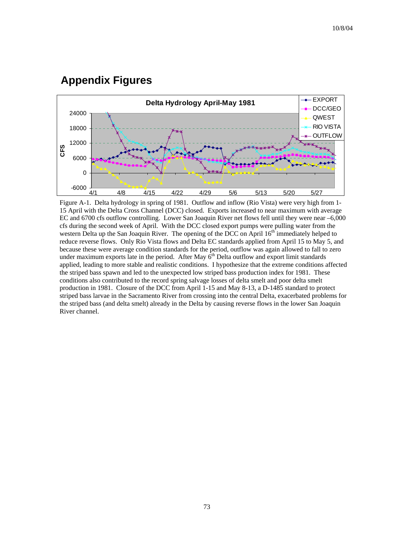## **Appendix Figures**



Figure A-1. Delta hydrology in spring of 1981. Outflow and inflow (Rio Vista) were very high from 1- 15 April with the Delta Cross Channel (DCC) closed. Exports increased to near maximum with average EC and 6700 cfs outflow controlling. Lower San Joaquin River net flows fell until they were near –6,000 cfs during the second week of April. With the DCC closed export pumps were pulling water from the western Delta up the San Joaquin River. The opening of the DCC on April 16<sup>th</sup> immediately helped to reduce reverse flows. Only Rio Vista flows and Delta EC standards applied from April 15 to May 5, and because these were average condition standards for the period, outflow was again allowed to fall to zero under maximum exports late in the period. After May  $6<sup>th</sup>$  Delta outflow and export limit standards applied, leading to more stable and realistic conditions. I hypothesize that the extreme conditions affected the striped bass spawn and led to the unexpected low striped bass production index for 1981. These conditions also contributed to the record spring salvage losses of delta smelt and poor delta smelt production in 1981. Closure of the DCC from April 1-15 and May 8-13, a D-1485 standard to protect striped bass larvae in the Sacramento River from crossing into the central Delta, exacerbated problems for the striped bass (and delta smelt) already in the Delta by causing reverse flows in the lower San Joaquin River channel.